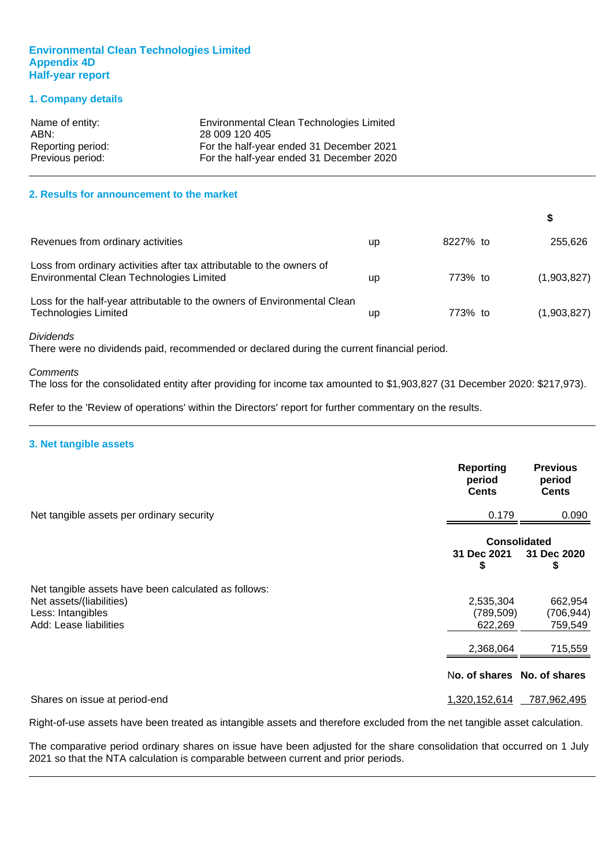#### **Environmental Clean Technologies Limited Appendix 4D Half-year report**

#### **1. Company details**

| Name of entity:   | Environmental Clean Technologies Limited |
|-------------------|------------------------------------------|
| ABN:              | 28 009 120 405                           |
| Reporting period: | For the half-year ended 31 December 2021 |
| Previous period:  | For the half-year ended 31 December 2020 |

#### **2. Results for announcement to the market**

| Revenues from ordinary activities                                                                                 | up | 8227% to | 255,626     |
|-------------------------------------------------------------------------------------------------------------------|----|----------|-------------|
| Loss from ordinary activities after tax attributable to the owners of<br>Environmental Clean Technologies Limited | up | 773% to  | (1,903,827) |
| Loss for the half-year attributable to the owners of Environmental Clean<br><b>Technologies Limited</b>           | up | 773% to  | (1,903,827) |

*Dividends*

There were no dividends paid, recommended or declared during the current financial period.

#### *Comments*

The loss for the consolidated entity after providing for income tax amounted to \$1,903,827 (31 December 2020: \$217,973).

Refer to the 'Review of operations' within the Directors' report for further commentary on the results.

#### **3. Net tangible assets**

|                                                      | <b>Reporting</b><br>period<br><b>Cents</b> | <b>Previous</b><br>period<br><b>Cents</b> |
|------------------------------------------------------|--------------------------------------------|-------------------------------------------|
| Net tangible assets per ordinary security            | 0.179                                      | 0.090                                     |
|                                                      |                                            | <b>Consolidated</b>                       |
|                                                      | 31 Dec 2021<br>\$                          | 31 Dec 2020<br>\$                         |
| Net tangible assets have been calculated as follows: |                                            |                                           |
| Net assets/(liabilities)                             | 2,535,304                                  | 662,954                                   |
| Less: Intangibles                                    | (789, 509)                                 | (706, 944)                                |
| Add: Lease liabilities                               | 622,269                                    | 759,549                                   |
|                                                      | 2,368,064                                  | 715,559                                   |
|                                                      | No. of shares No. of shares                |                                           |
| Shares on issue at period-end                        | 1,320,152,614                              | 787,962,495                               |

Right-of-use assets have been treated as intangible assets and therefore excluded from the net tangible asset calculation.

The comparative period ordinary shares on issue have been adjusted for the share consolidation that occurred on 1 July 2021 so that the NTA calculation is comparable between current and prior periods.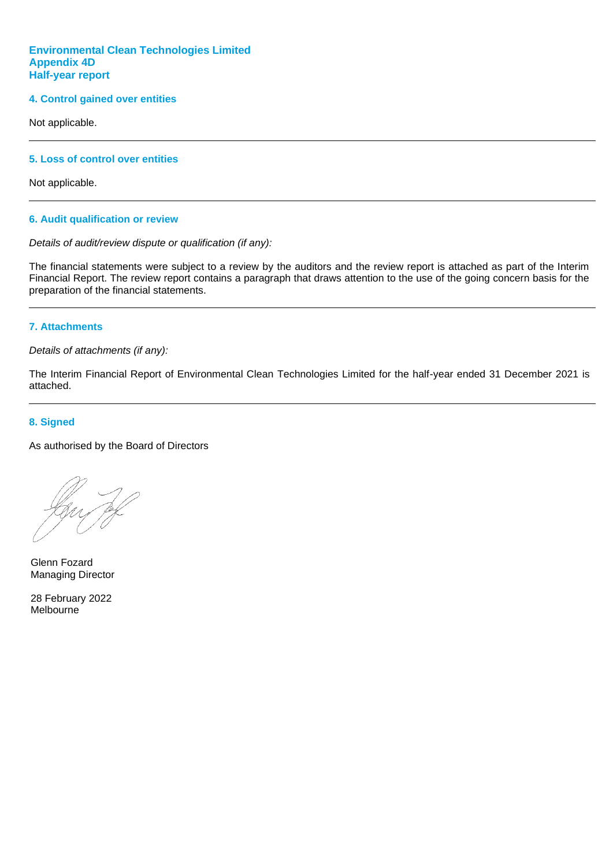#### **Environmental Clean Technologies Limited Appendix 4D Half-year report**

#### **4. Control gained over entities**

Not applicable.

#### **5. Loss of control over entities**

Not applicable.

#### **6. Audit qualification or review**

#### *Details of audit/review dispute or qualification (if any):*

The financial statements were subject to a review by the auditors and the review report is attached as part of the Interim Financial Report. The review report contains a paragraph that draws attention to the use of the going concern basis for the preparation of the financial statements.

#### **7. Attachments**

*Details of attachments (if any):*

The Interim Financial Report of Environmental Clean Technologies Limited for the half-year ended 31 December 2021 is attached.

#### **8. Signed**

As authorised by the Board of Directors

Glenn Fozard Managing Director

28 February 2022 Melbourne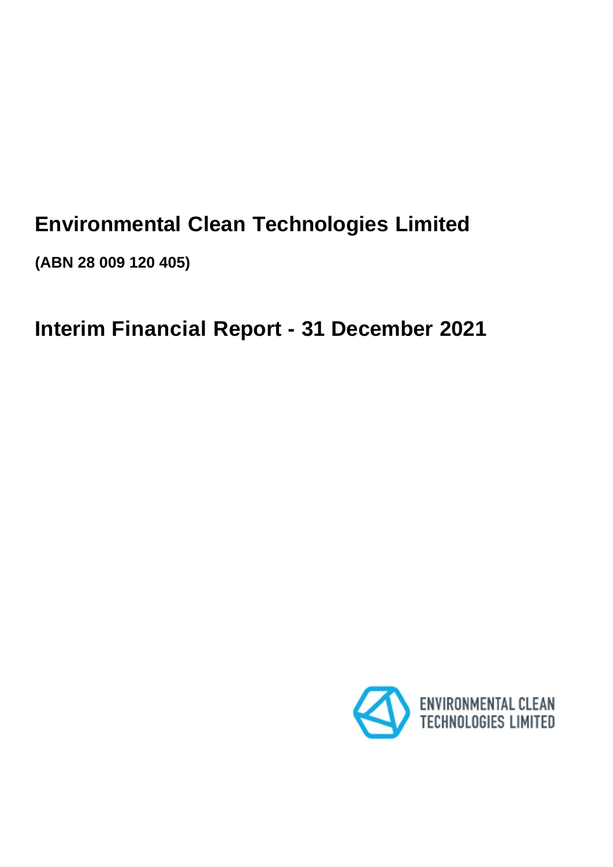# **Environmental Clean Technologies Limited**

**(ABN 28 009 120 405)**

# **Interim Financial Report - 31 December 2021**

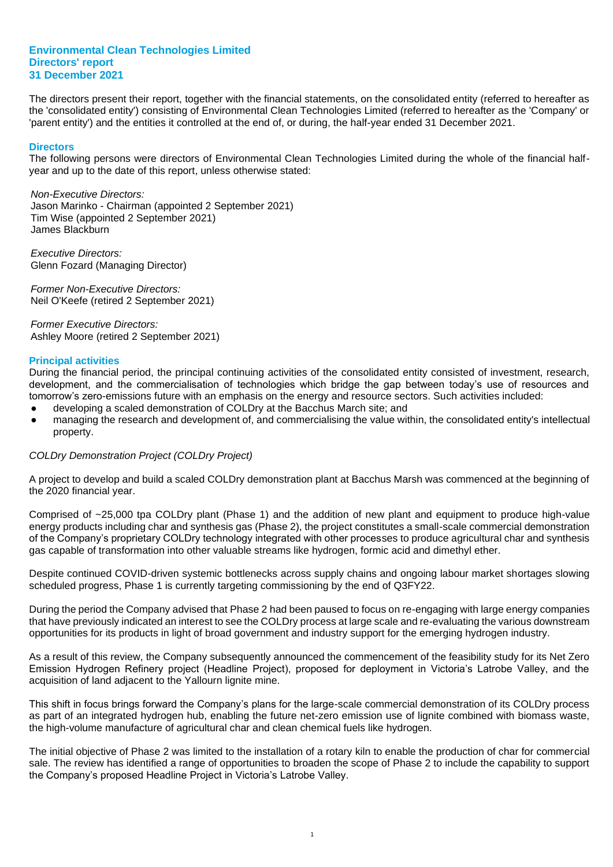The directors present their report, together with the financial statements, on the consolidated entity (referred to hereafter as the 'consolidated entity') consisting of Environmental Clean Technologies Limited (referred to hereafter as the 'Company' or 'parent entity') and the entities it controlled at the end of, or during, the half-year ended 31 December 2021.

#### **Directors**

The following persons were directors of Environmental Clean Technologies Limited during the whole of the financial halfyear and up to the date of this report, unless otherwise stated:

*Non-Executive Directors:* Jason Marinko - Chairman (appointed 2 September 2021) Tim Wise (appointed 2 September 2021) James Blackburn

*Executive Directors:* Glenn Fozard (Managing Director)

*Former Non-Executive Directors:* Neil O'Keefe (retired 2 September 2021)

*Former Executive Directors:* Ashley Moore (retired 2 September 2021)

#### **Principal activities**

During the financial period, the principal continuing activities of the consolidated entity consisted of investment, research, development, and the commercialisation of technologies which bridge the gap between today's use of resources and tomorrow's zero-emissions future with an emphasis on the energy and resource sectors. Such activities included:

- developing a scaled demonstration of COLDry at the Bacchus March site; and
- managing the research and development of, and commercialising the value within, the consolidated entity's intellectual property.

#### *COLDry Demonstration Project (COLDry Project)*

A project to develop and build a scaled COLDry demonstration plant at Bacchus Marsh was commenced at the beginning of the 2020 financial year.

Comprised of ~25,000 tpa COLDry plant (Phase 1) and the addition of new plant and equipment to produce high-value energy products including char and synthesis gas (Phase 2), the project constitutes a small-scale commercial demonstration of the Company's proprietary COLDry technology integrated with other processes to produce agricultural char and synthesis gas capable of transformation into other valuable streams like hydrogen, formic acid and dimethyl ether.

Despite continued COVID-driven systemic bottlenecks across supply chains and ongoing labour market shortages slowing scheduled progress, Phase 1 is currently targeting commissioning by the end of Q3FY22.

During the period the Company advised that Phase 2 had been paused to focus on re-engaging with large energy companies that have previously indicated an interest to see the COLDry process at large scale and re-evaluating the various downstream opportunities for its products in light of broad government and industry support for the emerging hydrogen industry.

As a result of this review, the Company subsequently announced the commencement of the feasibility study for its Net Zero Emission Hydrogen Refinery project (Headline Project), proposed for deployment in Victoria's Latrobe Valley, and the acquisition of land adjacent to the Yallourn lignite mine.

This shift in focus brings forward the Company's plans for the large-scale commercial demonstration of its COLDry process as part of an integrated hydrogen hub, enabling the future net-zero emission use of lignite combined with biomass waste, the high-volume manufacture of agricultural char and clean chemical fuels like hydrogen.

The initial objective of Phase 2 was limited to the installation of a rotary kiln to enable the production of char for commercial sale. The review has identified a range of opportunities to broaden the scope of Phase 2 to include the capability to support the Company's proposed Headline Project in Victoria's Latrobe Valley.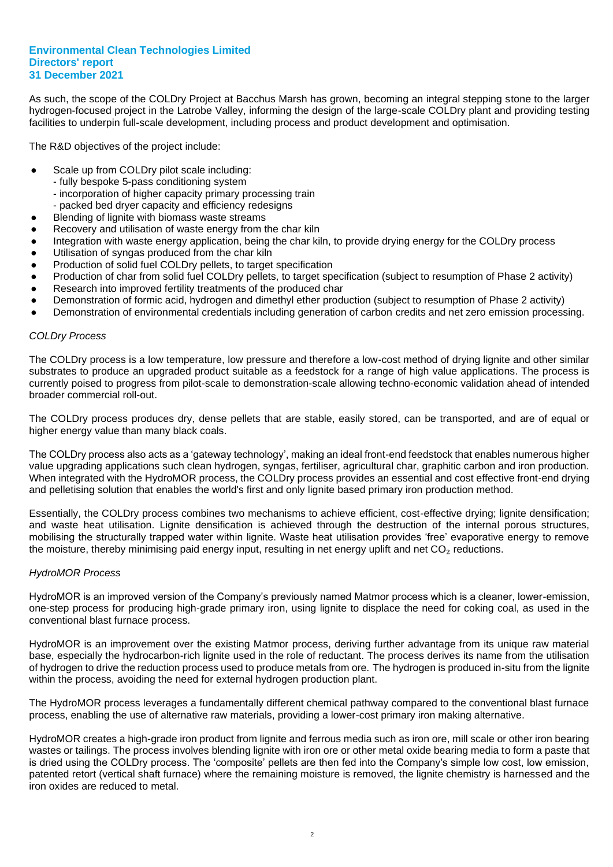As such, the scope of the COLDry Project at Bacchus Marsh has grown, becoming an integral stepping stone to the larger hydrogen-focused project in the Latrobe Valley, informing the design of the large-scale COLDry plant and providing testing facilities to underpin full-scale development, including process and product development and optimisation.

The R&D objectives of the project include:

- Scale up from COLDry pilot scale including:
	- fully bespoke 5-pass conditioning system
	- incorporation of higher capacity primary processing train
	- packed bed dryer capacity and efficiency redesigns
- Blending of lignite with biomass waste streams
- Recovery and utilisation of waste energy from the char kiln
- Integration with waste energy application, being the char kiln, to provide drying energy for the COLDry process
- Utilisation of syngas produced from the char kiln
- Production of solid fuel COLDry pellets, to target specification
- Production of char from solid fuel COLDry pellets, to target specification (subject to resumption of Phase 2 activity)
- Research into improved fertility treatments of the produced char
- Demonstration of formic acid, hydrogen and dimethyl ether production (subject to resumption of Phase 2 activity)
- Demonstration of environmental credentials including generation of carbon credits and net zero emission processing.

#### *COLDry Process*

The COLDry process is a low temperature, low pressure and therefore a low-cost method of drying lignite and other similar substrates to produce an upgraded product suitable as a feedstock for a range of high value applications. The process is currently poised to progress from pilot-scale to demonstration-scale allowing techno-economic validation ahead of intended broader commercial roll-out.

The COLDry process produces dry, dense pellets that are stable, easily stored, can be transported, and are of equal or higher energy value than many black coals.

The COLDry process also acts as a 'gateway technology', making an ideal front-end feedstock that enables numerous higher value upgrading applications such clean hydrogen, syngas, fertiliser, agricultural char, graphitic carbon and iron production. When integrated with the HydroMOR process, the COLDry process provides an essential and cost effective front-end drying and pelletising solution that enables the world's first and only lignite based primary iron production method.

Essentially, the COLDry process combines two mechanisms to achieve efficient, cost-effective drying; lignite densification; and waste heat utilisation. Lignite densification is achieved through the destruction of the internal porous structures, mobilising the structurally trapped water within lignite. Waste heat utilisation provides 'free' evaporative energy to remove the moisture, thereby minimising paid energy input, resulting in net energy uplift and net CO<sub>2</sub> reductions.

#### *HydroMOR Process*

HydroMOR is an improved version of the Company's previously named Matmor process which is a cleaner, lower-emission, one-step process for producing high-grade primary iron, using lignite to displace the need for coking coal, as used in the conventional blast furnace process.

HydroMOR is an improvement over the existing Matmor process, deriving further advantage from its unique raw material base, especially the hydrocarbon-rich lignite used in the role of reductant. The process derives its name from the utilisation of hydrogen to drive the reduction process used to produce metals from ore. The hydrogen is produced in-situ from the lignite within the process, avoiding the need for external hydrogen production plant.

The HydroMOR process leverages a fundamentally different chemical pathway compared to the conventional blast furnace process, enabling the use of alternative raw materials, providing a lower-cost primary iron making alternative.

HydroMOR creates a high-grade iron product from lignite and ferrous media such as iron ore, mill scale or other iron bearing wastes or tailings. The process involves blending lignite with iron ore or other metal oxide bearing media to form a paste that is dried using the COLDry process. The 'composite' pellets are then fed into the Company's simple low cost, low emission, patented retort (vertical shaft furnace) where the remaining moisture is removed, the lignite chemistry is harnessed and the iron oxides are reduced to metal.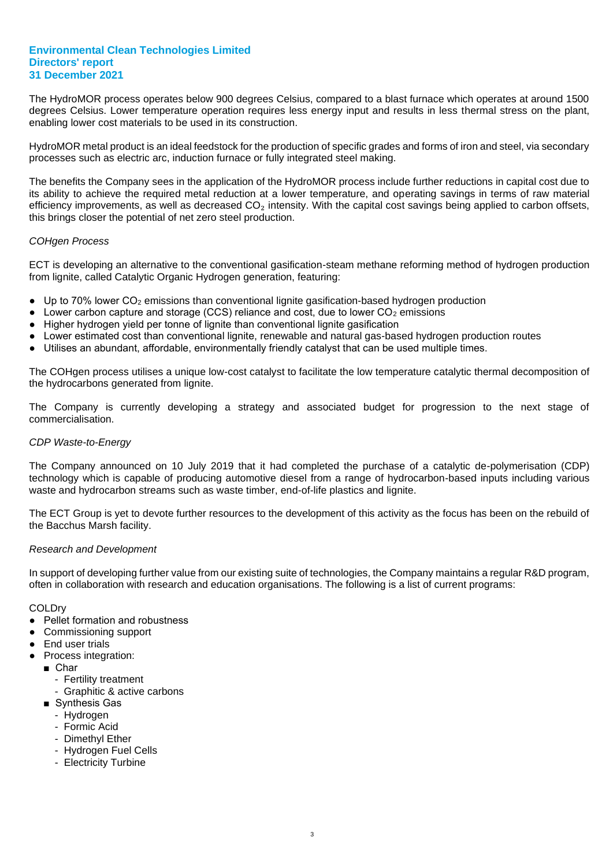The HydroMOR process operates below 900 degrees Celsius, compared to a blast furnace which operates at around 1500 degrees Celsius. Lower temperature operation requires less energy input and results in less thermal stress on the plant, enabling lower cost materials to be used in its construction.

HydroMOR metal product is an ideal feedstock for the production of specific grades and forms of iron and steel, via secondary processes such as electric arc, induction furnace or fully integrated steel making.

The benefits the Company sees in the application of the HydroMOR process include further reductions in capital cost due to its ability to achieve the required metal reduction at a lower temperature, and operating savings in terms of raw material efficiency improvements, as well as decreased  $CO<sub>2</sub>$  intensity. With the capital cost savings being applied to carbon offsets, this brings closer the potential of net zero steel production.

#### *COHgen Process*

ECT is developing an alternative to the conventional gasification-steam methane reforming method of hydrogen production from lignite, called Catalytic Organic Hydrogen generation, featuring:

- Up to 70% lower CO<sub>2</sub> emissions than conventional lignite gasification-based hydrogen production
- $\bullet$  Lower carbon capture and storage (CCS) reliance and cost, due to lower  $CO<sub>2</sub>$  emissions
- Higher hydrogen vield per tonne of lignite than conventional lignite gasification
- Lower estimated cost than conventional lignite, renewable and natural gas-based hydrogen production routes
- Utilises an abundant, affordable, environmentally friendly catalyst that can be used multiple times.

The COHgen process utilises a unique low-cost catalyst to facilitate the low temperature catalytic thermal decomposition of the hydrocarbons generated from lignite.

The Company is currently developing a strategy and associated budget for progression to the next stage of commercialisation.

#### *CDP Waste-to-Energy*

The Company announced on 10 July 2019 that it had completed the purchase of a catalytic de-polymerisation (CDP) technology which is capable of producing automotive diesel from a range of hydrocarbon-based inputs including various waste and hydrocarbon streams such as waste timber, end-of-life plastics and lignite.

The ECT Group is yet to devote further resources to the development of this activity as the focus has been on the rebuild of the Bacchus Marsh facility.

#### *Research and Development*

In support of developing further value from our existing suite of technologies, the Company maintains a regular R&D program, often in collaboration with research and education organisations. The following is a list of current programs:

#### **COLDry**

- Pellet formation and robustness
- Commissioning support
- End user trials
- Process integration:
	- Char
		- Fertility treatment
		- Graphitic & active carbons
	- Synthesis Gas
		- Hydrogen
		- Formic Acid
		- Dimethyl Ether
		- Hydrogen Fuel Cells
		- Electricity Turbine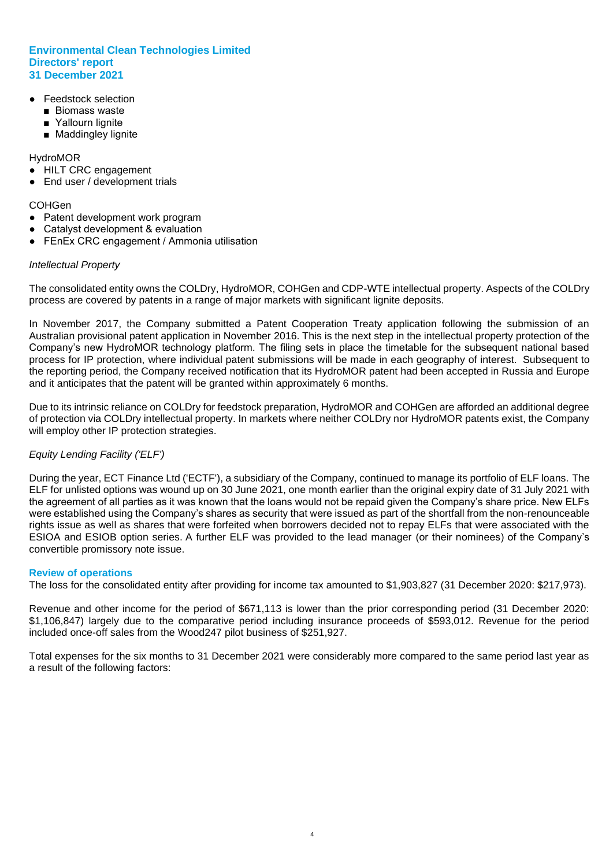- **Feedstock selection** 
	- Biomass waste
	- Yallourn lignite
	- Maddingley lignite

#### HydroMOR

- HILT CRC engagement
- End user / development trials

#### **COHGen**

- Patent development work program
- Catalyst development & evaluation
- FEnEx CRC engagement / Ammonia utilisation

#### *Intellectual Property*

The consolidated entity owns the COLDry, HydroMOR, COHGen and CDP-WTE intellectual property. Aspects of the COLDry process are covered by patents in a range of major markets with significant lignite deposits.

In November 2017, the Company submitted a Patent Cooperation Treaty application following the submission of an Australian provisional patent application in November 2016. This is the next step in the intellectual property protection of the Company's new HydroMOR technology platform. The filing sets in place the timetable for the subsequent national based process for IP protection, where individual patent submissions will be made in each geography of interest. Subsequent to the reporting period, the Company received notification that its HydroMOR patent had been accepted in Russia and Europe and it anticipates that the patent will be granted within approximately 6 months.

Due to its intrinsic reliance on COLDry for feedstock preparation, HydroMOR and COHGen are afforded an additional degree of protection via COLDry intellectual property. In markets where neither COLDry nor HydroMOR patents exist, the Company will employ other IP protection strategies.

#### *Equity Lending Facility ('ELF')*

During the year, ECT Finance Ltd ('ECTF'), a subsidiary of the Company, continued to manage its portfolio of ELF loans. The ELF for unlisted options was wound up on 30 June 2021, one month earlier than the original expiry date of 31 July 2021 with the agreement of all parties as it was known that the loans would not be repaid given the Company's share price. New ELFs were established using the Company's shares as security that were issued as part of the shortfall from the non-renounceable rights issue as well as shares that were forfeited when borrowers decided not to repay ELFs that were associated with the ESIOA and ESIOB option series. A further ELF was provided to the lead manager (or their nominees) of the Company's convertible promissory note issue.

#### **Review of operations**

The loss for the consolidated entity after providing for income tax amounted to \$1,903,827 (31 December 2020: \$217,973).

Revenue and other income for the period of \$671,113 is lower than the prior corresponding period (31 December 2020: \$1,106,847) largely due to the comparative period including insurance proceeds of \$593,012. Revenue for the period included once-off sales from the Wood247 pilot business of \$251,927.

Total expenses for the six months to 31 December 2021 were considerably more compared to the same period last year as a result of the following factors: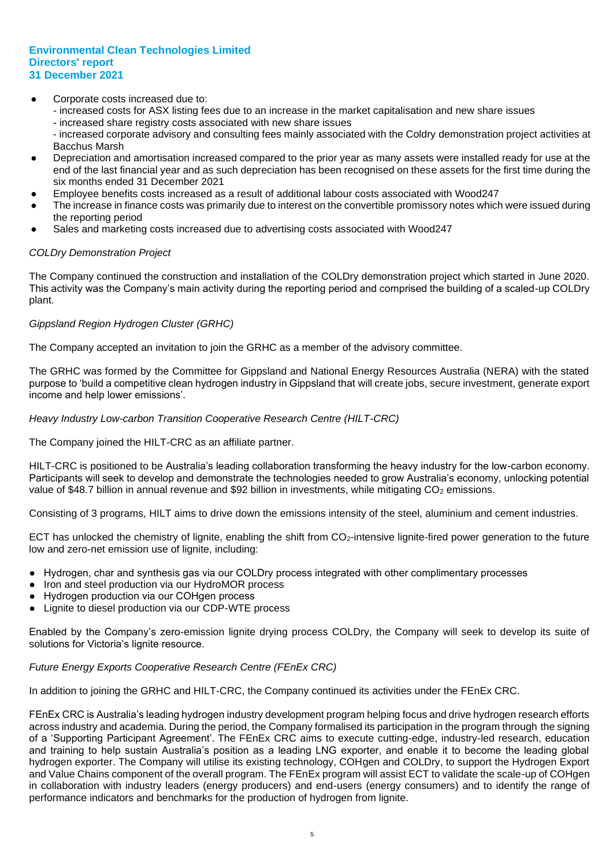- Corporate costs increased due to:
	- increased costs for ASX listing fees due to an increase in the market capitalisation and new share issues
	- increased share registry costs associated with new share issues
	- increased corporate advisory and consulting fees mainly associated with the Coldry demonstration project activities at Bacchus Marsh
- Depreciation and amortisation increased compared to the prior year as many assets were installed ready for use at the end of the last financial year and as such depreciation has been recognised on these assets for the first time during the six months ended 31 December 2021
- Employee benefits costs increased as a result of additional labour costs associated with Wood247
- The increase in finance costs was primarily due to interest on the convertible promissory notes which were issued during the reporting period
- Sales and marketing costs increased due to advertising costs associated with Wood247

#### *COLDry Demonstration Project*

The Company continued the construction and installation of the COLDry demonstration project which started in June 2020. This activity was the Company's main activity during the reporting period and comprised the building of a scaled-up COLDry plant.

#### *Gippsland Region Hydrogen Cluster (GRHC)*

The Company accepted an invitation to join the GRHC as a member of the advisory committee.

The GRHC was formed by the Committee for Gippsland and National Energy Resources Australia (NERA) with the stated purpose to 'build a competitive clean hydrogen industry in Gippsland that will create jobs, secure investment, generate export income and help lower emissions'.

*Heavy Industry Low-carbon Transition Cooperative Research Centre (HILT-CRC)*

The Company joined the HILT-CRC as an affiliate partner.

HILT-CRC is positioned to be Australia's leading collaboration transforming the heavy industry for the low-carbon economy. Participants will seek to develop and demonstrate the technologies needed to grow Australia's economy, unlocking potential value of \$48.7 billion in annual revenue and \$92 billion in investments, while mitigating CO<sub>2</sub> emissions.

Consisting of 3 programs, HILT aims to drive down the emissions intensity of the steel, aluminium and cement industries.

ECT has unlocked the chemistry of lignite, enabling the shift from CO2-intensive lignite-fired power generation to the future low and zero-net emission use of lignite, including:

- Hydrogen, char and synthesis gas via our COLDry process integrated with other complimentary processes
- Iron and steel production via our HydroMOR process
- Hydrogen production via our COHgen process
- Lignite to diesel production via our CDP-WTE process

Enabled by the Company's zero-emission lignite drying process COLDry, the Company will seek to develop its suite of solutions for Victoria's lignite resource.

#### *Future Energy Exports Cooperative Research Centre (FEnEx CRC)*

In addition to joining the GRHC and HILT-CRC, the Company continued its activities under the FEnEx CRC.

FEnEx CRC is Australia's leading hydrogen industry development program helping focus and drive hydrogen research efforts across industry and academia. During the period, the Company formalised its participation in the program through the signing of a 'Supporting Participant Agreement'. The FEnEx CRC aims to execute cutting-edge, industry-led research, education and training to help sustain Australia's position as a leading LNG exporter, and enable it to become the leading global hydrogen exporter. The Company will utilise its existing technology, COHgen and COLDry, to support the Hydrogen Export and Value Chains component of the overall program. The FEnEx program will assist ECT to validate the scale-up of COHgen in collaboration with industry leaders (energy producers) and end-users (energy consumers) and to identify the range of performance indicators and benchmarks for the production of hydrogen from lignite.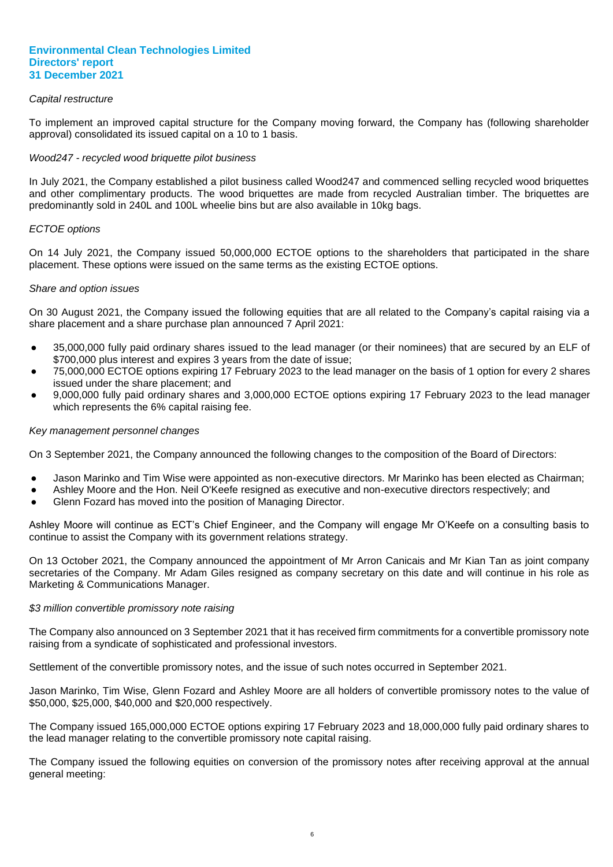#### *Capital restructure*

To implement an improved capital structure for the Company moving forward, the Company has (following shareholder approval) consolidated its issued capital on a 10 to 1 basis.

#### *Wood247 - recycled wood briquette pilot business*

In July 2021, the Company established a pilot business called Wood247 and commenced selling recycled wood briquettes and other complimentary products. The wood briquettes are made from recycled Australian timber. The briquettes are predominantly sold in 240L and 100L wheelie bins but are also available in 10kg bags.

#### *ECTOE options*

On 14 July 2021, the Company issued 50,000,000 ECTOE options to the shareholders that participated in the share placement. These options were issued on the same terms as the existing ECTOE options.

#### *Share and option issues*

On 30 August 2021, the Company issued the following equities that are all related to the Company's capital raising via a share placement and a share purchase plan announced 7 April 2021:

- 35,000,000 fully paid ordinary shares issued to the lead manager (or their nominees) that are secured by an ELF of \$700,000 plus interest and expires 3 years from the date of issue;
- 75,000,000 ECTOE options expiring 17 February 2023 to the lead manager on the basis of 1 option for every 2 shares issued under the share placement; and
- 9,000,000 fully paid ordinary shares and 3,000,000 ECTOE options expiring 17 February 2023 to the lead manager which represents the 6% capital raising fee.

#### *Key management personnel changes*

On 3 September 2021, the Company announced the following changes to the composition of the Board of Directors:

- Jason Marinko and Tim Wise were appointed as non-executive directors. Mr Marinko has been elected as Chairman;
- Ashley Moore and the Hon. Neil O'Keefe resigned as executive and non-executive directors respectively; and
- Glenn Fozard has moved into the position of Managing Director.

Ashley Moore will continue as ECT's Chief Engineer, and the Company will engage Mr O'Keefe on a consulting basis to continue to assist the Company with its government relations strategy.

On 13 October 2021, the Company announced the appointment of Mr Arron Canicais and Mr Kian Tan as joint company secretaries of the Company. Mr Adam Giles resigned as company secretary on this date and will continue in his role as Marketing & Communications Manager.

#### *\$3 million convertible promissory note raising*

The Company also announced on 3 September 2021 that it has received firm commitments for a convertible promissory note raising from a syndicate of sophisticated and professional investors.

Settlement of the convertible promissory notes, and the issue of such notes occurred in September 2021.

Jason Marinko, Tim Wise, Glenn Fozard and Ashley Moore are all holders of convertible promissory notes to the value of \$50,000, \$25,000, \$40,000 and \$20,000 respectively.

The Company issued 165,000,000 ECTOE options expiring 17 February 2023 and 18,000,000 fully paid ordinary shares to the lead manager relating to the convertible promissory note capital raising.

The Company issued the following equities on conversion of the promissory notes after receiving approval at the annual general meeting: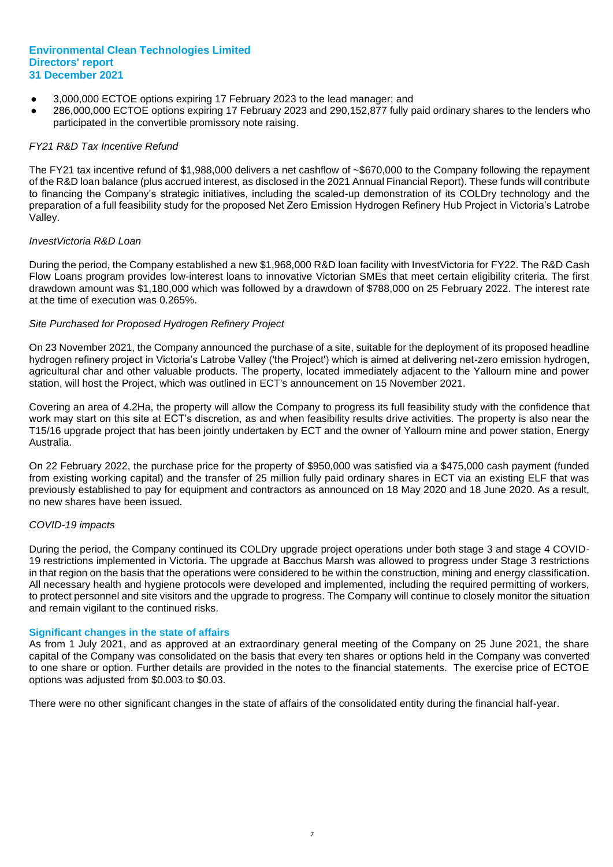- 3,000,000 ECTOE options expiring 17 February 2023 to the lead manager; and
- 286,000,000 ECTOE options expiring 17 February 2023 and 290,152,877 fully paid ordinary shares to the lenders who participated in the convertible promissory note raising.

#### *FY21 R&D Tax Incentive Refund*

The FY21 tax incentive refund of \$1,988,000 delivers a net cashflow of ~\$670,000 to the Company following the repayment of the R&D loan balance (plus accrued interest, as disclosed in the 2021 Annual Financial Report). These funds will contribute to financing the Company's strategic initiatives, including the scaled-up demonstration of its COLDry technology and the preparation of a full feasibility study for the proposed Net Zero Emission Hydrogen Refinery Hub Project in Victoria's Latrobe Valley.

#### *InvestVictoria R&D Loan*

During the period, the Company established a new \$1,968,000 R&D loan facility with InvestVictoria for FY22. The R&D Cash Flow Loans program provides low-interest loans to innovative Victorian SMEs that meet certain eligibility criteria. The first drawdown amount was \$1,180,000 which was followed by a drawdown of \$788,000 on 25 February 2022. The interest rate at the time of execution was 0.265%.

#### *Site Purchased for Proposed Hydrogen Refinery Project*

On 23 November 2021, the Company announced the purchase of a site, suitable for the deployment of its proposed headline hydrogen refinery project in Victoria's Latrobe Valley ('the Project') which is aimed at delivering net-zero emission hydrogen, agricultural char and other valuable products. The property, located immediately adjacent to the Yallourn mine and power station, will host the Project, which was outlined in ECT's announcement on 15 November 2021.

Covering an area of 4.2Ha, the property will allow the Company to progress its full feasibility study with the confidence that work may start on this site at ECT's discretion, as and when feasibility results drive activities. The property is also near the T15/16 upgrade project that has been jointly undertaken by ECT and the owner of Yallourn mine and power station, Energy Australia.

On 22 February 2022, the purchase price for the property of \$950,000 was satisfied via a \$475,000 cash payment (funded from existing working capital) and the transfer of 25 million fully paid ordinary shares in ECT via an existing ELF that was previously established to pay for equipment and contractors as announced on 18 May 2020 and 18 June 2020. As a result, no new shares have been issued.

#### *COVID-19 impacts*

During the period, the Company continued its COLDry upgrade project operations under both stage 3 and stage 4 COVID-19 restrictions implemented in Victoria. The upgrade at Bacchus Marsh was allowed to progress under Stage 3 restrictions in that region on the basis that the operations were considered to be within the construction, mining and energy classification. All necessary health and hygiene protocols were developed and implemented, including the required permitting of workers, to protect personnel and site visitors and the upgrade to progress. The Company will continue to closely monitor the situation and remain vigilant to the continued risks.

#### **Significant changes in the state of affairs**

As from 1 July 2021, and as approved at an extraordinary general meeting of the Company on 25 June 2021, the share capital of the Company was consolidated on the basis that every ten shares or options held in the Company was converted to one share or option. Further details are provided in the notes to the financial statements. The exercise price of ECTOE options was adjusted from \$0.003 to \$0.03.

There were no other significant changes in the state of affairs of the consolidated entity during the financial half-year.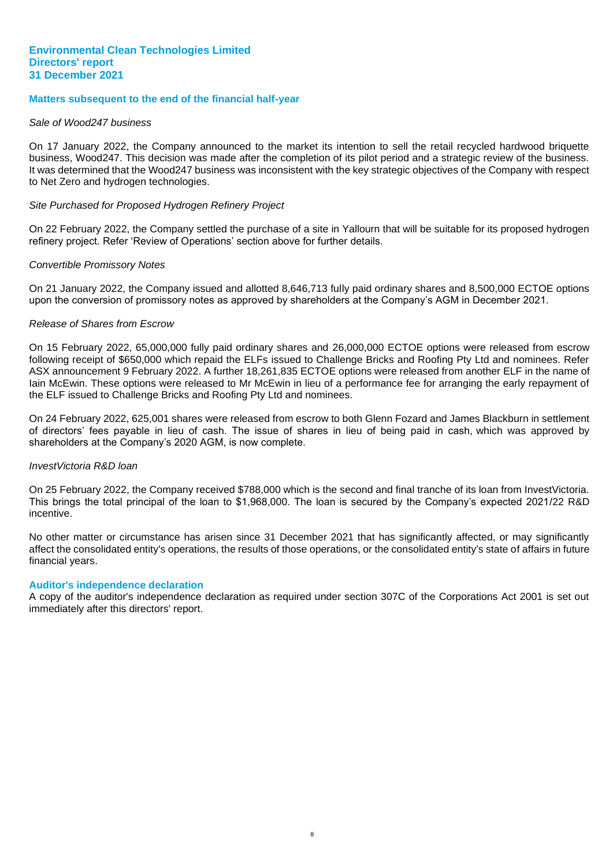#### **Matters subsequent to the end of the financial half-year**

#### *Sale of Wood247 business*

On 17 January 2022, the Company announced to the market its intention to sell the retail recycled hardwood briquette business, Wood247. This decision was made after the completion of its pilot period and a strategic review of the business. It was determined that the Wood247 business was inconsistent with the key strategic objectives of the Company with respect to Net Zero and hydrogen technologies.

#### *Site Purchased for Proposed Hydrogen Refinery Project*

On 22 February 2022, the Company settled the purchase of a site in Yallourn that will be suitable for its proposed hydrogen refinery project. Refer 'Review of Operations' section above for further details.

#### *Convertible Promissory Notes*

On 21 January 2022, the Company issued and allotted 8,646,713 fully paid ordinary shares and 8,500,000 ECTOE options upon the conversion of promissory notes as approved by shareholders at the Company's AGM in December 2021.

#### *Release of Shares from Escrow*

On 15 February 2022, 65,000,000 fully paid ordinary shares and 26,000,000 ECTOE options were released from escrow following receipt of \$650,000 which repaid the ELFs issued to Challenge Bricks and Roofing Pty Ltd and nominees. Refer ASX announcement 9 February 2022. A further 18,261,835 ECTOE options were released from another ELF in the name of Iain McEwin. These options were released to Mr McEwin in lieu of a performance fee for arranging the early repayment of the ELF issued to Challenge Bricks and Roofing Pty Ltd and nominees.

On 24 February 2022, 625,001 shares were released from escrow to both Glenn Fozard and James Blackburn in settlement of directors' fees payable in lieu of cash. The issue of shares in lieu of being paid in cash, which was approved by shareholders at the Company's 2020 AGM, is now complete.

#### *InvestVictoria R&D loan*

On 25 February 2022, the Company received \$788,000 which is the second and final tranche of its loan from InvestVictoria. This brings the total principal of the loan to \$1,968,000. The loan is secured by the Company's expected 2021/22 R&D incentive.

No other matter or circumstance has arisen since 31 December 2021 that has significantly affected, or may significantly affect the consolidated entity's operations, the results of those operations, or the consolidated entity's state of affairs in future financial years.

#### **Auditor's independence declaration**

A copy of the auditor's independence declaration as required under section 307C of the Corporations Act 2001 is set out immediately after this directors' report.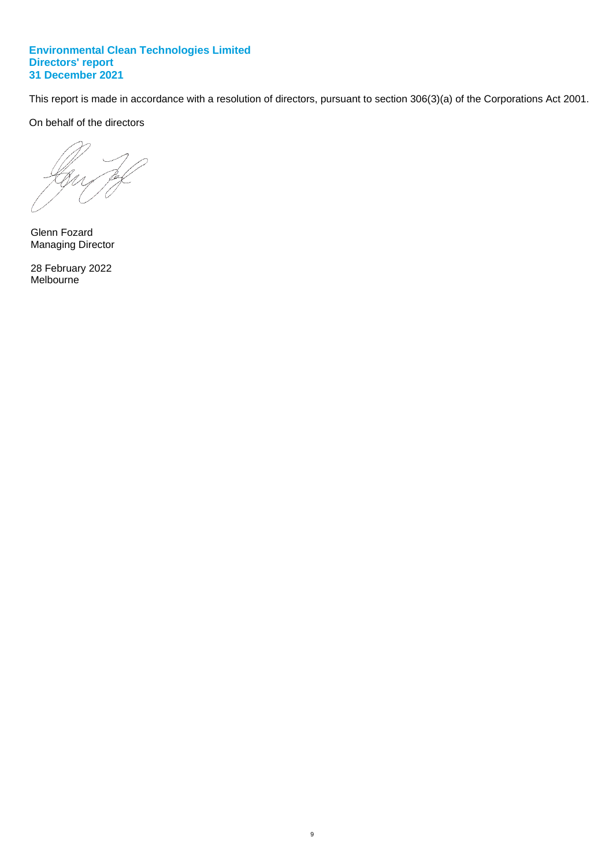This report is made in accordance with a resolution of directors, pursuant to section 306(3)(a) of the Corporations Act 2001.

9

On behalf of the directors

Glenn Fozard Managing Director

28 February 2022 Melbourne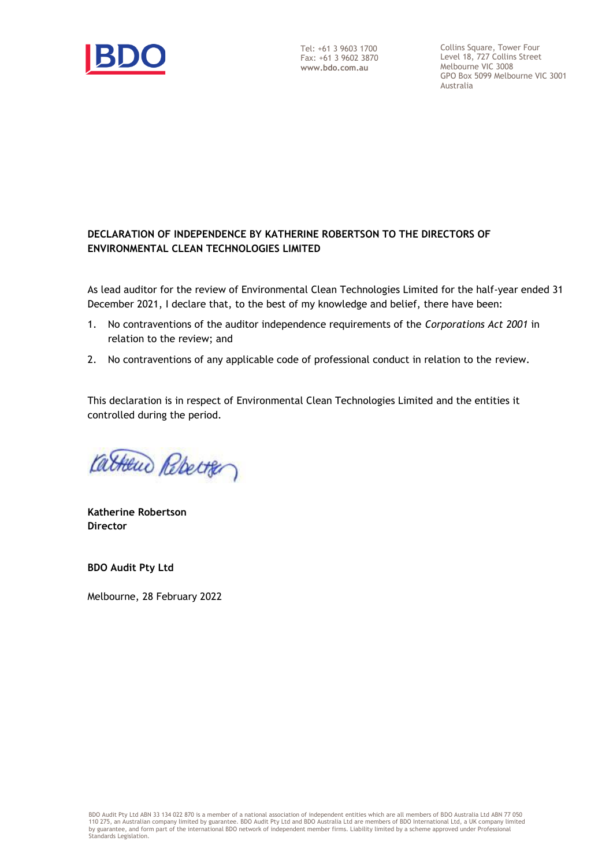

Tel: +61 3 9603 1700 Fax: +61 3 9602 3870 **www.bdo.com.au**

Collins Square, Tower Four Level 18, 727 Collins Street Melbourne VIC 3008 GPO Box 5099 Melbourne VIC 3001 Australia

# **DECLARATION OF INDEPENDENCE BY KATHERINE ROBERTSON TO THE DIRECTORS OF ENVIRONMENTAL CLEAN TECHNOLOGIES LIMITED**

As lead auditor for the review of Environmental Clean Technologies Limited for the half-year ended 31 December 2021, I declare that, to the best of my knowledge and belief, there have been:

- 1. No contraventions of the auditor independence requirements of the *Corporations Act 2001* in relation to the review; and
- 2. No contraventions of any applicable code of professional conduct in relation to the review.

This declaration is in respect of Environmental Clean Technologies Limited and the entities it controlled during the period.

Catherin Rebector

**Katherine Robertson Director**

**BDO Audit Pty Ltd**

Melbourne, 28 February 2022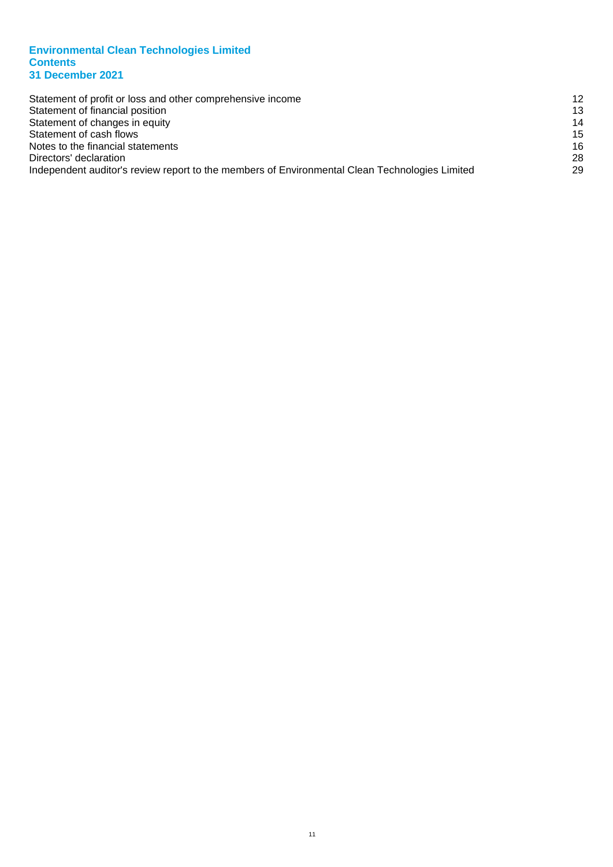#### **Environmental Clean Technologies Limited Contents 31 December 2021**

| Statement of profit or loss and other comprehensive income                                     | 12 |
|------------------------------------------------------------------------------------------------|----|
| Statement of financial position                                                                | 13 |
| Statement of changes in equity                                                                 | 14 |
| Statement of cash flows                                                                        | 15 |
| Notes to the financial statements                                                              | 16 |
| Directors' declaration                                                                         | 28 |
| Independent auditor's review report to the members of Environmental Clean Technologies Limited | 29 |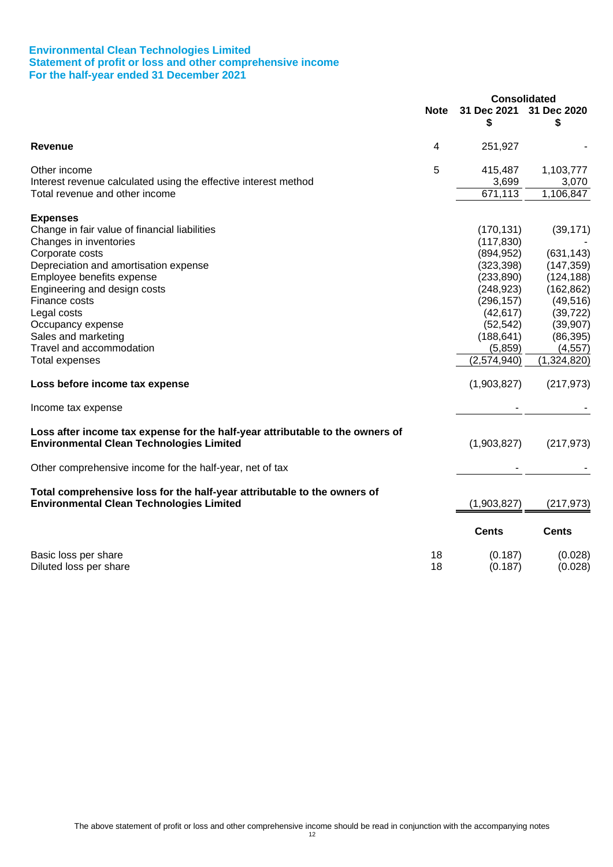#### **Environmental Clean Technologies Limited Statement of profit or loss and other comprehensive income For the half-year ended 31 December 2021**

|                                                                                                                                  |             | <b>Consolidated</b> |                    |
|----------------------------------------------------------------------------------------------------------------------------------|-------------|---------------------|--------------------|
|                                                                                                                                  | <b>Note</b> | 31 Dec 2021<br>\$   | 31 Dec 2020<br>\$  |
| <b>Revenue</b>                                                                                                                   | 4           | 251,927             |                    |
| Other income                                                                                                                     | 5           | 415,487             | 1,103,777          |
| Interest revenue calculated using the effective interest method                                                                  |             | 3,699               | 3,070              |
| Total revenue and other income                                                                                                   |             | 671,113             | 1,106,847          |
| <b>Expenses</b>                                                                                                                  |             |                     |                    |
| Change in fair value of financial liabilities                                                                                    |             | (170, 131)          | (39, 171)          |
| Changes in inventories                                                                                                           |             | (117, 830)          |                    |
| Corporate costs                                                                                                                  |             | (894, 952)          | (631, 143)         |
| Depreciation and amortisation expense                                                                                            |             | (323, 398)          | (147, 359)         |
| Employee benefits expense                                                                                                        |             | (233, 890)          | (124, 188)         |
| Engineering and design costs                                                                                                     |             | (248, 923)          | (162, 862)         |
| Finance costs                                                                                                                    |             | (296, 157)          | (49, 516)          |
| Legal costs                                                                                                                      |             | (42, 617)           | (39, 722)          |
| Occupancy expense                                                                                                                |             | (52, 542)           | (39, 907)          |
| Sales and marketing                                                                                                              |             | (188, 641)          | (86, 395)          |
| Travel and accommodation                                                                                                         |             | (5,859)             | (4, 557)           |
| Total expenses                                                                                                                   |             | (2,574,940)         | (1,324,820)        |
| Loss before income tax expense                                                                                                   |             | (1,903,827)         | (217, 973)         |
| Income tax expense                                                                                                               |             |                     |                    |
| Loss after income tax expense for the half-year attributable to the owners of<br><b>Environmental Clean Technologies Limited</b> |             | (1,903,827)         | (217, 973)         |
| Other comprehensive income for the half-year, net of tax                                                                         |             |                     |                    |
| Total comprehensive loss for the half-year attributable to the owners of<br><b>Environmental Clean Technologies Limited</b>      |             | (1,903,827)         | (217, 973)         |
|                                                                                                                                  |             | <b>Cents</b>        | <b>Cents</b>       |
| Basic loss per share<br>Diluted loss per share                                                                                   | 18<br>18    | (0.187)<br>(0.187)  | (0.028)<br>(0.028) |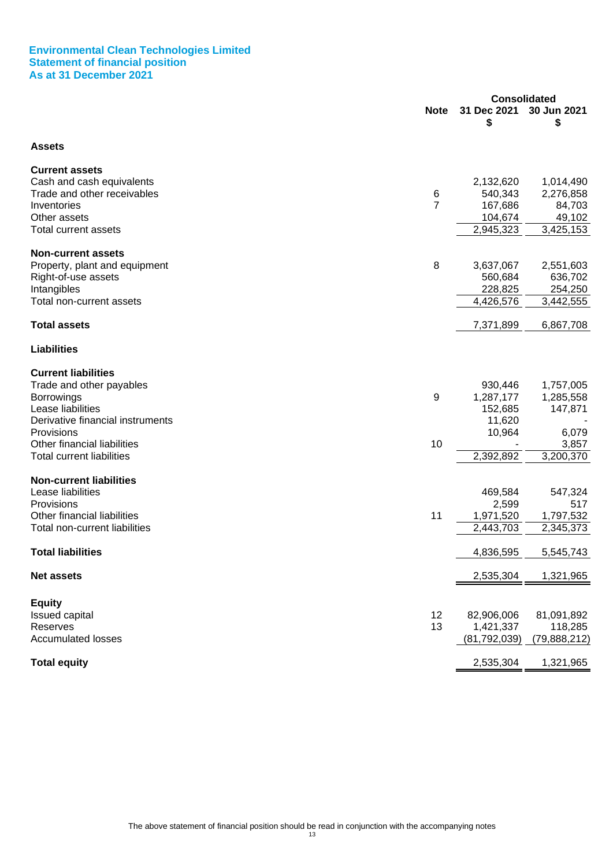#### **Environmental Clean Technologies Limited Statement of financial position As at 31 December 2021**

|                                  | <b>Consolidated</b> |                   |                   |
|----------------------------------|---------------------|-------------------|-------------------|
|                                  | <b>Note</b>         | 31 Dec 2021<br>\$ | 30 Jun 2021<br>\$ |
| <b>Assets</b>                    |                     |                   |                   |
| <b>Current assets</b>            |                     |                   |                   |
| Cash and cash equivalents        |                     | 2,132,620         | 1,014,490         |
| Trade and other receivables      | 6                   | 540,343           | 2,276,858         |
| Inventories                      | $\overline{7}$      | 167,686           | 84,703            |
| Other assets                     |                     | 104,674           | 49,102            |
| Total current assets             |                     | 2,945,323         | 3,425,153         |
| <b>Non-current assets</b>        |                     |                   |                   |
| Property, plant and equipment    | 8                   | 3,637,067         | 2,551,603         |
| Right-of-use assets              |                     | 560,684           | 636,702           |
| Intangibles                      |                     | 228,825           | 254,250           |
| Total non-current assets         |                     | 4,426,576         | 3,442,555         |
| <b>Total assets</b>              |                     | 7,371,899         | 6,867,708         |
| <b>Liabilities</b>               |                     |                   |                   |
| <b>Current liabilities</b>       |                     |                   |                   |
| Trade and other payables         |                     | 930,446           | 1,757,005         |
| <b>Borrowings</b>                | 9                   | 1,287,177         | 1,285,558         |
| Lease liabilities                |                     | 152,685           | 147,871           |
| Derivative financial instruments |                     | 11,620            |                   |
| Provisions                       |                     | 10,964            | 6,079             |
| Other financial liabilities      | 10                  |                   | 3,857             |
| <b>Total current liabilities</b> |                     | 2,392,892         | 3,200,370         |
| <b>Non-current liabilities</b>   |                     |                   |                   |
| Lease liabilities                |                     | 469,584           | 547,324           |
| Provisions                       |                     | 2,599             | 517               |
| Other financial liabilities      | 11                  | 1,971,520         | 1,797,532         |
| Total non-current liabilities    |                     | 2,443,703         | 2,345,373         |
| <b>Total liabilities</b>         |                     | 4,836,595         | 5,545,743         |
| <b>Net assets</b>                |                     | 2,535,304         | 1,321,965         |
| <b>Equity</b>                    |                     |                   |                   |
| Issued capital                   | 12                  | 82,906,006        | 81,091,892        |
| Reserves                         | 13                  | 1,421,337         | 118,285           |
| <b>Accumulated losses</b>        |                     | (81, 792, 039)    | (79,888,212)      |
| <b>Total equity</b>              |                     | 2,535,304         | 1,321,965         |
|                                  |                     |                   |                   |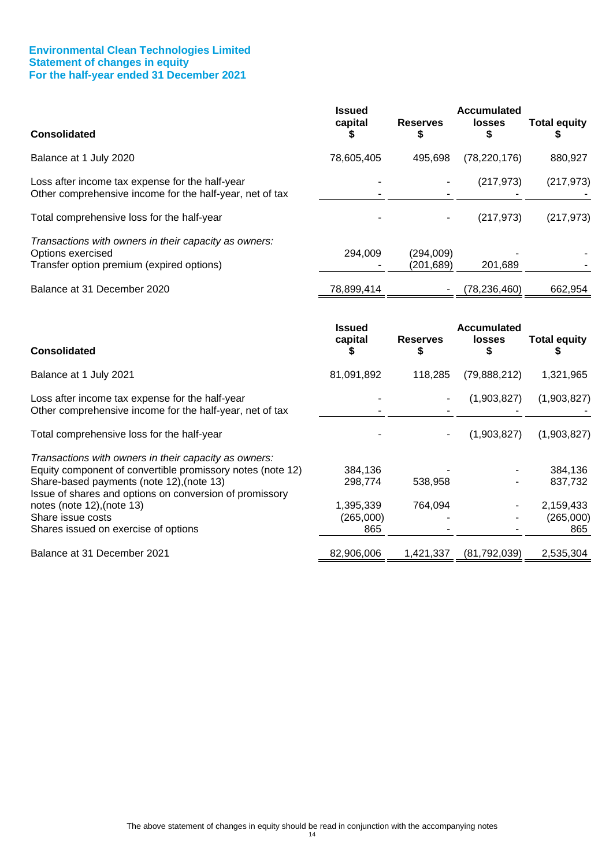#### **Environmental Clean Technologies Limited Statement of changes in equity For the half-year ended 31 December 2021**

| <b>Consolidated</b>                                                                                                                                              | <b>Issued</b><br>capital | <b>Reserves</b><br>S    | <b>Accumulated</b><br><b>losses</b><br>S  | <b>Total equity</b> |
|------------------------------------------------------------------------------------------------------------------------------------------------------------------|--------------------------|-------------------------|-------------------------------------------|---------------------|
| Balance at 1 July 2020                                                                                                                                           | 78,605,405               | 495,698                 | (78, 220, 176)                            | 880,927             |
| Loss after income tax expense for the half-year<br>Other comprehensive income for the half-year, net of tax                                                      |                          |                         | (217, 973)                                | (217, 973)          |
| Total comprehensive loss for the half-year                                                                                                                       |                          |                         | (217, 973)                                | (217, 973)          |
| Transactions with owners in their capacity as owners:<br>Options exercised<br>Transfer option premium (expired options)                                          | 294,009                  | (294,009)<br>(201, 689) | 201,689                                   |                     |
| Balance at 31 December 2020                                                                                                                                      | 78,899,414               |                         | (78, 236, 460)                            | 662,954             |
| <b>Consolidated</b>                                                                                                                                              | <b>Issued</b><br>capital | <b>Reserves</b>         | <b>Accumulated</b><br><b>losses</b><br>\$ | <b>Total equity</b> |
| Balance at 1 July 2021                                                                                                                                           | 81,091,892               | 118,285                 | (79,888,212)                              | 1,321,965           |
| Loss after income tax expense for the half-year<br>Other comprehensive income for the half-year, net of tax                                                      |                          |                         | (1,903,827)                               | (1,903,827)         |
| Total comprehensive loss for the half-year                                                                                                                       |                          |                         | (1,903,827)                               | (1,903,827)         |
| Transactions with owners in their capacity as owners:<br>Equity component of convertible promissory notes (note 12)<br>Share-based payments (note 12), (note 13) | 384,136                  |                         |                                           | 384,136             |
| Issue of shares and options on conversion of promissory                                                                                                          | 298,774                  | 538,958                 |                                           | 837,732             |

Balance at 31 December 2021 1,42,906,006 1,421,337 (81,792,039) 2,535,304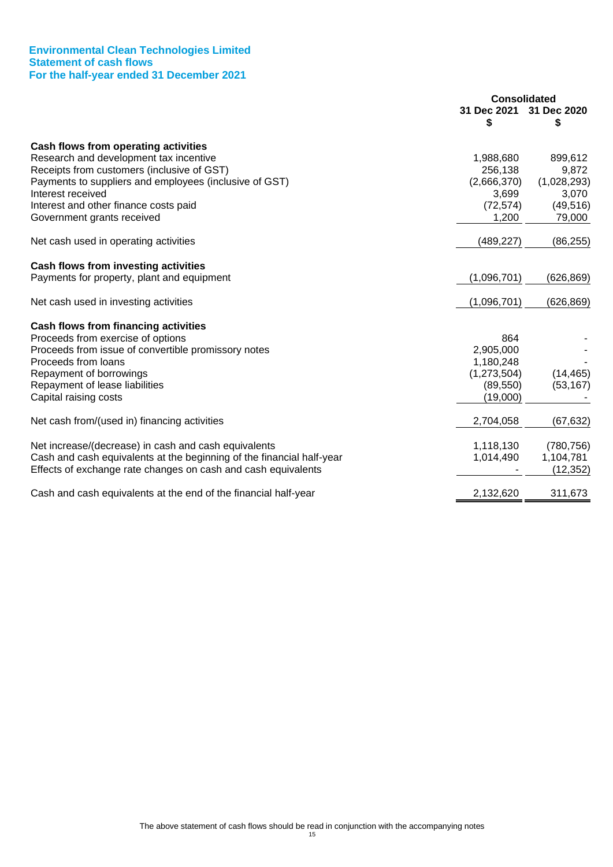#### **Environmental Clean Technologies Limited Statement of cash flows For the half-year ended 31 December 2021**

|                                                                       | <b>Consolidated</b> |             |
|-----------------------------------------------------------------------|---------------------|-------------|
|                                                                       | 31 Dec 2021         | 31 Dec 2020 |
|                                                                       |                     | \$          |
| Cash flows from operating activities                                  |                     |             |
| Research and development tax incentive                                | 1,988,680           | 899,612     |
| Receipts from customers (inclusive of GST)                            | 256,138             | 9,872       |
| Payments to suppliers and employees (inclusive of GST)                | (2,666,370)         | (1,028,293) |
| Interest received                                                     | 3,699               | 3,070       |
| Interest and other finance costs paid                                 | (72, 574)           | (49, 516)   |
| Government grants received                                            | 1,200               | 79,000      |
| Net cash used in operating activities                                 | (489, 227)          | (86, 255)   |
|                                                                       |                     |             |
| Cash flows from investing activities                                  |                     |             |
| Payments for property, plant and equipment                            | (1,096,701)         | (626, 869)  |
| Net cash used in investing activities                                 | (1,096,701)         | (626, 869)  |
| Cash flows from financing activities                                  |                     |             |
| Proceeds from exercise of options                                     | 864                 |             |
| Proceeds from issue of convertible promissory notes                   | 2,905,000           |             |
| Proceeds from loans                                                   | 1,180,248           |             |
| Repayment of borrowings                                               | (1,273,504)         | (14, 465)   |
| Repayment of lease liabilities                                        | (89, 550)           | (53, 167)   |
| Capital raising costs                                                 | (19,000)            |             |
| Net cash from/(used in) financing activities                          | 2,704,058           | (67, 632)   |
| Net increase/(decrease) in cash and cash equivalents                  | 1,118,130           | (780, 756)  |
| Cash and cash equivalents at the beginning of the financial half-year | 1,014,490           | 1,104,781   |
| Effects of exchange rate changes on cash and cash equivalents         |                     | (12, 352)   |
| Cash and cash equivalents at the end of the financial half-year       | 2,132,620           | 311,673     |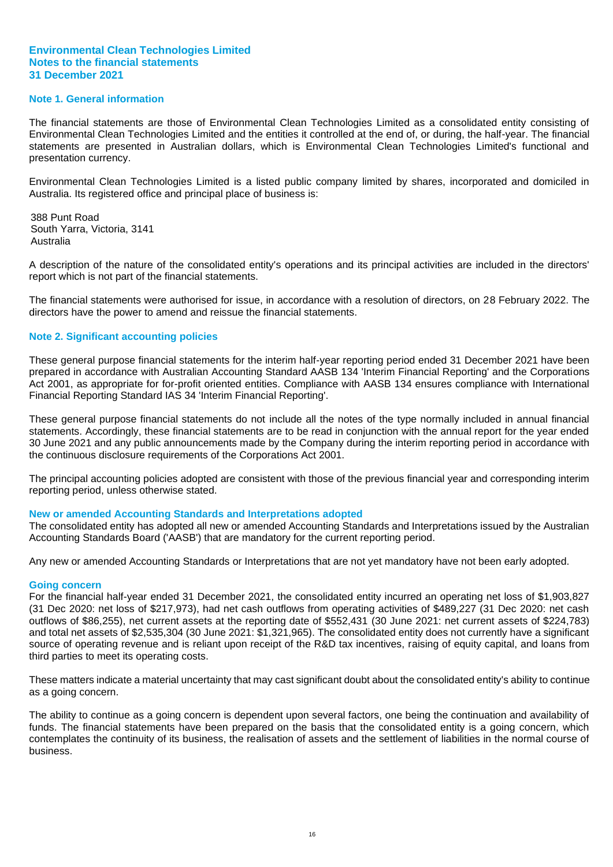#### **Note 1. General information**

The financial statements are those of Environmental Clean Technologies Limited as a consolidated entity consisting of Environmental Clean Technologies Limited and the entities it controlled at the end of, or during, the half-year. The financial statements are presented in Australian dollars, which is Environmental Clean Technologies Limited's functional and presentation currency.

Environmental Clean Technologies Limited is a listed public company limited by shares, incorporated and domiciled in Australia. Its registered office and principal place of business is:

388 Punt Road South Yarra, Victoria, 3141 Australia

A description of the nature of the consolidated entity's operations and its principal activities are included in the directors' report which is not part of the financial statements.

The financial statements were authorised for issue, in accordance with a resolution of directors, on 28 February 2022. The directors have the power to amend and reissue the financial statements.

#### **Note 2. Significant accounting policies**

These general purpose financial statements for the interim half-year reporting period ended 31 December 2021 have been prepared in accordance with Australian Accounting Standard AASB 134 'Interim Financial Reporting' and the Corporations Act 2001, as appropriate for for-profit oriented entities. Compliance with AASB 134 ensures compliance with International Financial Reporting Standard IAS 34 'Interim Financial Reporting'.

These general purpose financial statements do not include all the notes of the type normally included in annual financial statements. Accordingly, these financial statements are to be read in conjunction with the annual report for the year ended 30 June 2021 and any public announcements made by the Company during the interim reporting period in accordance with the continuous disclosure requirements of the Corporations Act 2001.

The principal accounting policies adopted are consistent with those of the previous financial year and corresponding interim reporting period, unless otherwise stated.

#### **New or amended Accounting Standards and Interpretations adopted**

The consolidated entity has adopted all new or amended Accounting Standards and Interpretations issued by the Australian Accounting Standards Board ('AASB') that are mandatory for the current reporting period.

Any new or amended Accounting Standards or Interpretations that are not yet mandatory have not been early adopted.

#### **Going concern**

For the financial half-year ended 31 December 2021, the consolidated entity incurred an operating net loss of \$1,903,827 (31 Dec 2020: net loss of \$217,973), had net cash outflows from operating activities of \$489,227 (31 Dec 2020: net cash outflows of \$86,255), net current assets at the reporting date of \$552,431 (30 June 2021: net current assets of \$224,783) and total net assets of \$2,535,304 (30 June 2021: \$1,321,965). The consolidated entity does not currently have a significant source of operating revenue and is reliant upon receipt of the R&D tax incentives, raising of equity capital, and loans from third parties to meet its operating costs.

These matters indicate a material uncertainty that may cast significant doubt about the consolidated entity's ability to continue as a going concern.

The ability to continue as a going concern is dependent upon several factors, one being the continuation and availability of funds. The financial statements have been prepared on the basis that the consolidated entity is a going concern, which contemplates the continuity of its business, the realisation of assets and the settlement of liabilities in the normal course of business.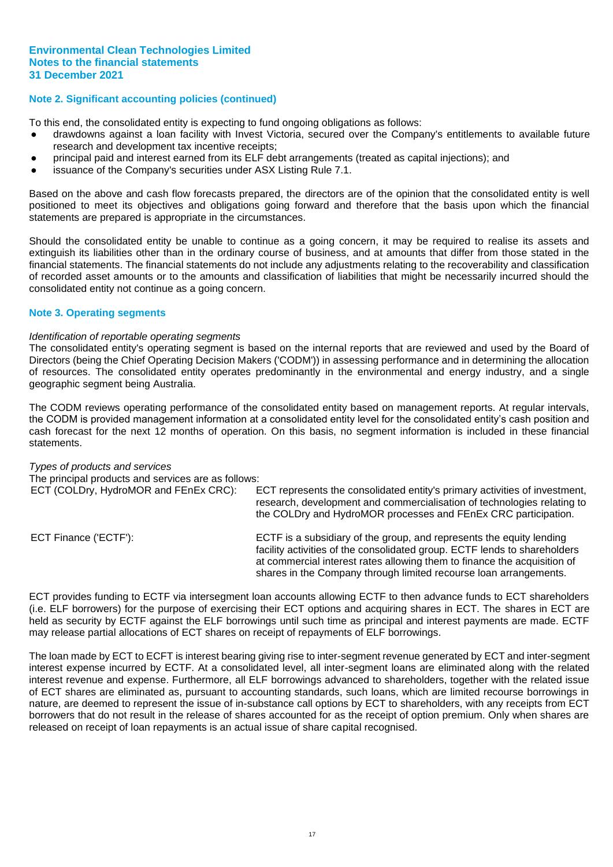#### **Note 2. Significant accounting policies (continued)**

To this end, the consolidated entity is expecting to fund ongoing obligations as follows:

- drawdowns against a loan facility with Invest Victoria, secured over the Company's entitlements to available future research and development tax incentive receipts;
- principal paid and interest earned from its ELF debt arrangements (treated as capital injections); and
- issuance of the Company's securities under ASX Listing Rule 7.1.

Based on the above and cash flow forecasts prepared, the directors are of the opinion that the consolidated entity is well positioned to meet its objectives and obligations going forward and therefore that the basis upon which the financial statements are prepared is appropriate in the circumstances.

Should the consolidated entity be unable to continue as a going concern, it may be required to realise its assets and extinguish its liabilities other than in the ordinary course of business, and at amounts that differ from those stated in the financial statements. The financial statements do not include any adjustments relating to the recoverability and classification of recorded asset amounts or to the amounts and classification of liabilities that might be necessarily incurred should the consolidated entity not continue as a going concern.

#### **Note 3. Operating segments**

#### *Identification of reportable operating segments*

The consolidated entity's operating segment is based on the internal reports that are reviewed and used by the Board of Directors (being the Chief Operating Decision Makers ('CODM')) in assessing performance and in determining the allocation of resources. The consolidated entity operates predominantly in the environmental and energy industry, and a single geographic segment being Australia.

The CODM reviews operating performance of the consolidated entity based on management reports. At regular intervals, the CODM is provided management information at a consolidated entity level for the consolidated entity's cash position and cash forecast for the next 12 months of operation. On this basis, no segment information is included in these financial statements.

| Types of products and services<br>The principal products and services are as follows: |                                                                                                                                                                                                                                                                                                    |
|---------------------------------------------------------------------------------------|----------------------------------------------------------------------------------------------------------------------------------------------------------------------------------------------------------------------------------------------------------------------------------------------------|
|                                                                                       |                                                                                                                                                                                                                                                                                                    |
| ECT (COLDry, HydroMOR and FEnEx CRC):                                                 | ECT represents the consolidated entity's primary activities of investment,<br>research, development and commercialisation of technologies relating to<br>the COLDry and HydroMOR processes and FEnEx CRC participation.                                                                            |
| ECT Finance ('ECTF'):                                                                 | ECTF is a subsidiary of the group, and represents the equity lending<br>facility activities of the consolidated group. ECTF lends to shareholders<br>at commercial interest rates allowing them to finance the acquisition of<br>shares in the Company through limited recourse loan arrangements. |

ECT provides funding to ECTF via intersegment loan accounts allowing ECTF to then advance funds to ECT shareholders (i.e. ELF borrowers) for the purpose of exercising their ECT options and acquiring shares in ECT. The shares in ECT are held as security by ECTF against the ELF borrowings until such time as principal and interest payments are made. ECTF may release partial allocations of ECT shares on receipt of repayments of ELF borrowings.

The loan made by ECT to ECFT is interest bearing giving rise to inter-segment revenue generated by ECT and inter-segment interest expense incurred by ECTF. At a consolidated level, all inter-segment loans are eliminated along with the related interest revenue and expense. Furthermore, all ELF borrowings advanced to shareholders, together with the related issue of ECT shares are eliminated as, pursuant to accounting standards, such loans, which are limited recourse borrowings in nature, are deemed to represent the issue of in-substance call options by ECT to shareholders, with any receipts from ECT borrowers that do not result in the release of shares accounted for as the receipt of option premium. Only when shares are released on receipt of loan repayments is an actual issue of share capital recognised.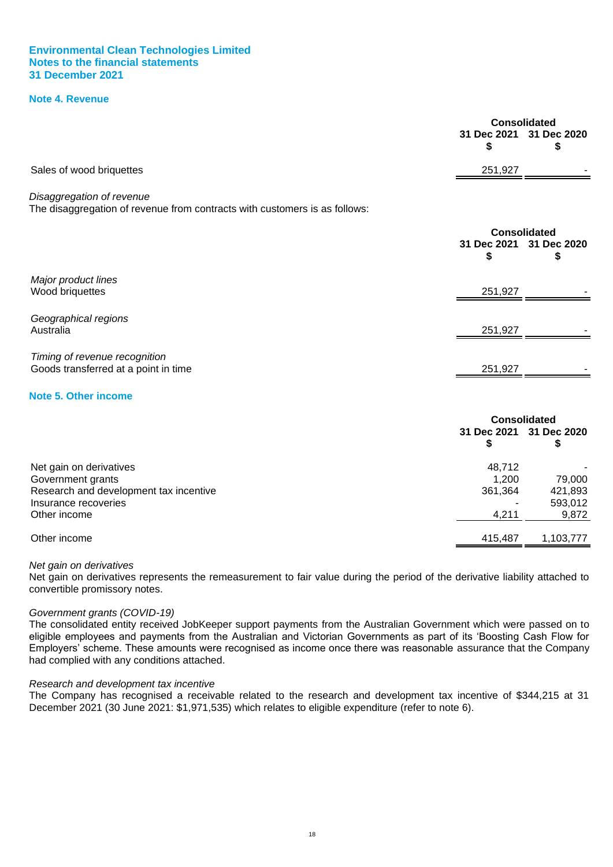#### **Note 4. Revenue**

<span id="page-20-0"></span>

|                                                                                                         | 31 Dec 2021<br>\$ | <b>Consolidated</b><br>31 Dec 2020<br>\$ |
|---------------------------------------------------------------------------------------------------------|-------------------|------------------------------------------|
| Sales of wood briquettes                                                                                | 251,927           |                                          |
| Disaggregation of revenue<br>The disaggregation of revenue from contracts with customers is as follows: |                   |                                          |
|                                                                                                         | 31 Dec 2021<br>S  | <b>Consolidated</b><br>31 Dec 2020<br>S  |
| Major product lines<br>Wood briquettes                                                                  | 251,927           |                                          |
| Geographical regions<br>Australia                                                                       | 251,927           |                                          |
| Timing of revenue recognition<br>Goods transferred at a point in time                                   | 251,927           |                                          |
| <b>Note 5. Other income</b>                                                                             |                   |                                          |
|                                                                                                         |                   | <b>Consolidated</b>                      |
|                                                                                                         | 31 Dec 2021<br>\$ | 31 Dec 2020<br>\$                        |
| Net gain on derivatives                                                                                 | 48,712            |                                          |
| Government grants<br>Research and development tax incentive                                             | 1,200<br>361,364  | 79,000<br>421,893                        |
| Insurance recoveries<br>Other income                                                                    | 4.211             | 593,012<br>9.872                         |

#### Other income 415,487 1,103,777

#### *Net gain on derivatives*

Net gain on derivatives represents the remeasurement to fair value during the period of the derivative liability attached to convertible promissory notes.

<span id="page-20-1"></span>Other income 4,211 9,872

#### *Government grants (COVID-19)*

The consolidated entity received JobKeeper support payments from the Australian Government which were passed on to eligible employees and payments from the Australian and Victorian Governments as part of its 'Boosting Cash Flow for Employers' scheme. These amounts were recognised as income once there was reasonable assurance that the Company had complied with any conditions attached.

#### *Research and development tax incentive*

The Company has recognised a receivable related to the research and development tax incentive of \$344,215 at 31 December 2021 (30 June 2021: \$1,971,535) which relates to eligible expenditure (refer to note 6).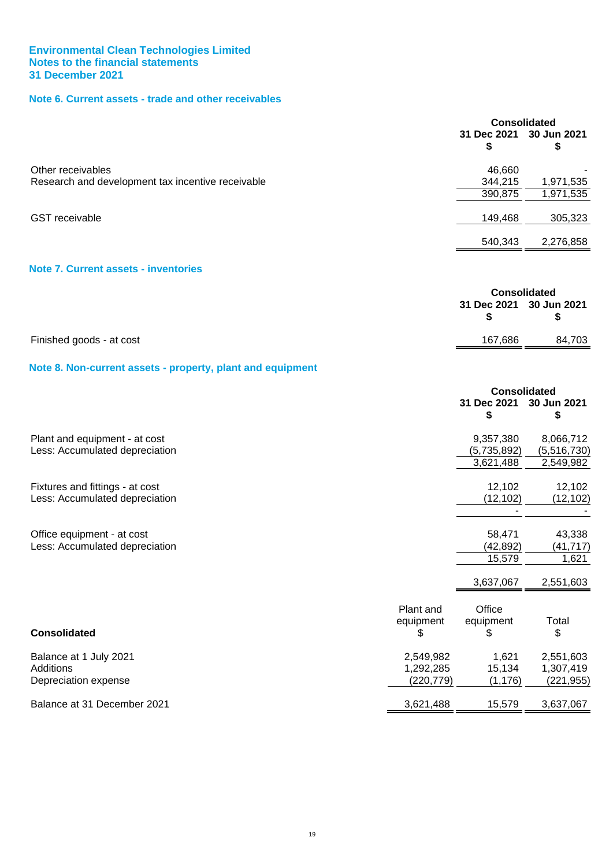# **Note 6. Current assets - trade and other receivables**

<span id="page-21-0"></span>

|                                                   | <b>Consolidated</b>     |           |
|---------------------------------------------------|-------------------------|-----------|
|                                                   | 31 Dec 2021 30 Jun 2021 |           |
| Other receivables                                 | 46,660                  |           |
| Research and development tax incentive receivable | 344,215                 | 1,971,535 |
|                                                   | 390,875                 | 1,971,535 |
| <b>GST</b> receivable                             | 149,468                 | 305,323   |
|                                                   | 540,343                 | 2,276,858 |
| <b>Note 7. Current assets - inventories</b>       |                         |           |

<span id="page-21-1"></span>

|                          | Consolidated            |        |
|--------------------------|-------------------------|--------|
|                          | 31 Dec 2021 30 Jun 2021 |        |
| Finished goods - at cost | 167.686                 | 84,703 |

### <span id="page-21-2"></span>**Note 8. Non-current assets - property, plant and equipment**

|                                                                   |                                      | <b>Consolidated</b>         |                                      |
|-------------------------------------------------------------------|--------------------------------------|-----------------------------|--------------------------------------|
|                                                                   |                                      | 31 Dec 2021<br>S            | 30 Jun 2021<br>\$                    |
| Plant and equipment - at cost<br>Less: Accumulated depreciation   |                                      | 9,357,380<br>(5,735,892)    | 8,066,712<br>(5,516,730)             |
|                                                                   |                                      | 3,621,488                   | 2,549,982                            |
| Fixtures and fittings - at cost<br>Less: Accumulated depreciation |                                      | 12,102<br>(12, 102)         | 12,102<br>(12, 102)                  |
| Office equipment - at cost<br>Less: Accumulated depreciation      |                                      | 58,471<br>(42, 892)         | 43,338<br>(41, 717)                  |
|                                                                   |                                      | 15,579<br>3,637,067         | 1,621<br>2,551,603                   |
| <b>Consolidated</b>                                               | Plant and<br>equipment<br>\$         | Office<br>equipment<br>S    | Total<br>\$                          |
| Balance at 1 July 2021<br>Additions<br>Depreciation expense       | 2,549,982<br>1,292,285<br>(220, 779) | 1,621<br>15,134<br>(1, 176) | 2,551,603<br>1,307,419<br>(221, 955) |
| Balance at 31 December 2021                                       | 3,621,488                            | 15,579                      | 3,637,067                            |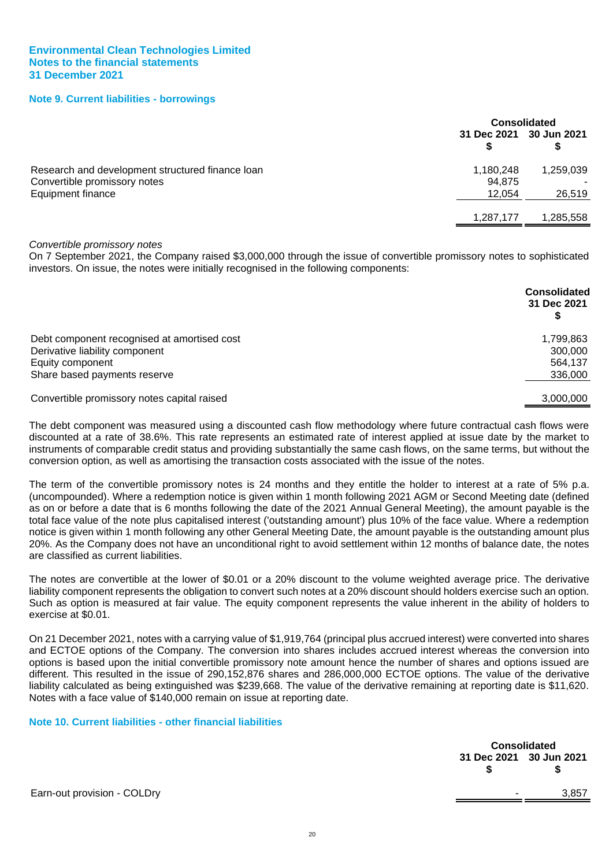#### **Note 9. Current liabilities - borrowings**

<span id="page-22-0"></span>

|                                                                                  |                         | <b>Consolidated</b> |  |
|----------------------------------------------------------------------------------|-------------------------|---------------------|--|
|                                                                                  | 31 Dec 2021 30 Jun 2021 |                     |  |
| Research and development structured finance loan<br>Convertible promissory notes | 1,180,248<br>94,875     | 1,259,039           |  |
| Equipment finance                                                                | 12,054                  | 26,519              |  |
|                                                                                  | 1,287,177               | 1,285,558           |  |

#### *Convertible promissory notes*

On 7 September 2021, the Company raised \$3,000,000 through the issue of convertible promissory notes to sophisticated investors. On issue, the notes were initially recognised in the following components:

|                                             | <b>Consolidated</b><br>31 Dec 2021 |
|---------------------------------------------|------------------------------------|
| Debt component recognised at amortised cost | 1,799,863                          |
| Derivative liability component              | 300,000                            |
| Equity component                            | 564,137                            |
| Share based payments reserve                | 336,000                            |
| Convertible promissory notes capital raised | 3,000,000                          |

The debt component was measured using a discounted cash flow methodology where future contractual cash flows were discounted at a rate of 38.6%. This rate represents an estimated rate of interest applied at issue date by the market to instruments of comparable credit status and providing substantially the same cash flows, on the same terms, but without the conversion option, as well as amortising the transaction costs associated with the issue of the notes.

The term of the convertible promissory notes is 24 months and they entitle the holder to interest at a rate of 5% p.a. (uncompounded). Where a redemption notice is given within 1 month following 2021 AGM or Second Meeting date (defined as on or before a date that is 6 months following the date of the 2021 Annual General Meeting), the amount payable is the total face value of the note plus capitalised interest ('outstanding amount') plus 10% of the face value. Where a redemption notice is given within 1 month following any other General Meeting Date, the amount payable is the outstanding amount plus 20%. As the Company does not have an unconditional right to avoid settlement within 12 months of balance date, the notes are classified as current liabilities.

The notes are convertible at the lower of \$0.01 or a 20% discount to the volume weighted average price. The derivative liability component represents the obligation to convert such notes at a 20% discount should holders exercise such an option. Such as option is measured at fair value. The equity component represents the value inherent in the ability of holders to exercise at \$0.01.

On 21 December 2021, notes with a carrying value of \$1,919,764 (principal plus accrued interest) were converted into shares and ECTOE options of the Company. The conversion into shares includes accrued interest whereas the conversion into options is based upon the initial convertible promissory note amount hence the number of shares and options issued are different. This resulted in the issue of 290,152,876 shares and 286,000,000 ECTOE options. The value of the derivative liability calculated as being extinguished was \$239,668. The value of the derivative remaining at reporting date is \$11,620. Notes with a face value of \$140,000 remain on issue at reporting date.

#### <span id="page-22-1"></span>**Note 10. Current liabilities - other financial liabilities**

| <b>Consolidated</b>     |       |  |  |
|-------------------------|-------|--|--|
| 31 Dec 2021 30 Jun 2021 |       |  |  |
|                         |       |  |  |
|                         | 3.857 |  |  |

Earn-out provision - COLDry  $3,85$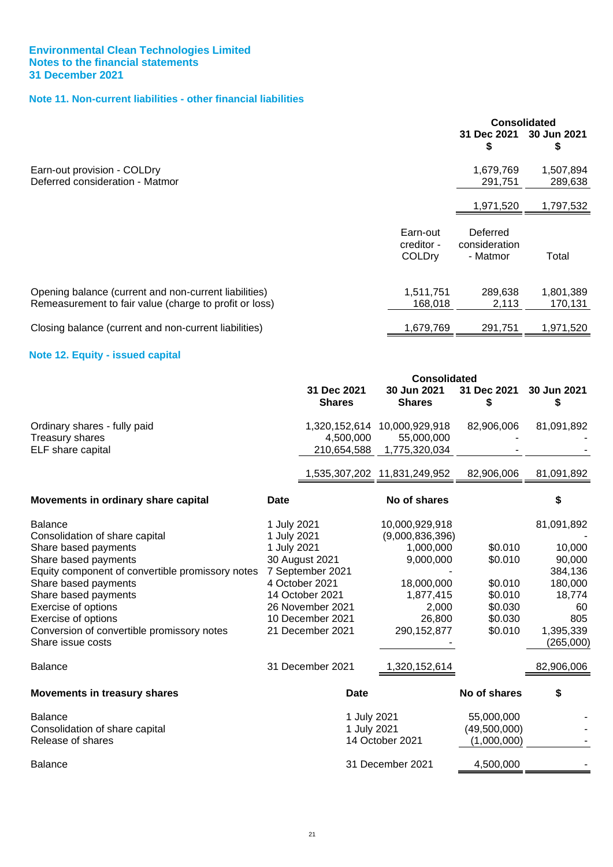# **Note 11. Non-current liabilities - other financial liabilities**

<span id="page-23-0"></span>

|                                                                                                                 |                                         | Consolidated                          |                      |
|-----------------------------------------------------------------------------------------------------------------|-----------------------------------------|---------------------------------------|----------------------|
|                                                                                                                 |                                         | 31 Dec 2021<br>S                      | 30 Jun 2021<br>\$    |
| Earn-out provision - COLDry<br>Deferred consideration - Matmor                                                  |                                         | 1,679,769<br>291,751                  | 1,507,894<br>289,638 |
|                                                                                                                 |                                         | 1,971,520                             | 1,797,532            |
|                                                                                                                 | Earn-out<br>creditor -<br><b>COLDry</b> | Deferred<br>consideration<br>- Matmor | Total                |
| Opening balance (current and non-current liabilities)<br>Remeasurement to fair value (charge to profit or loss) | 1,511,751<br>168,018                    | 289,638<br>2,113                      | 1,801,389<br>170,131 |
| Closing balance (current and non-current liabilities)                                                           | 1,679,769                               | 291,751                               | 1,971,520            |

### **Note 12. Equity - issued capital**

<span id="page-23-1"></span>

|                                                                 |                              | <b>Consolidated</b>                        |                   |                        |
|-----------------------------------------------------------------|------------------------------|--------------------------------------------|-------------------|------------------------|
|                                                                 | 31 Dec 2021<br><b>Shares</b> | 30 Jun 2021<br><b>Shares</b>               | 31 Dec 2021<br>\$ | 30 Jun 2021<br>S       |
| Ordinary shares - fully paid<br>Treasury shares                 | 4,500,000                    | 1,320,152,614 10,000,929,918<br>55,000,000 | 82,906,006        | 81,091,892             |
| ELF share capital                                               | 210,654,588                  | 1,775,320,034                              |                   |                        |
|                                                                 |                              | 1,535,307,202 11,831,249,952               | 82,906,006        | 81,091,892             |
| Movements in ordinary share capital                             | <b>Date</b>                  | No of shares                               |                   |                        |
| <b>Balance</b>                                                  | 1 July 2021                  | 10,000,929,918                             |                   | 81,091,892             |
| Consolidation of share capital                                  | 1 July 2021                  | (9,000,836,396)                            |                   |                        |
| Share based payments                                            | 1 July 2021                  | 1,000,000                                  | \$0.010           | 10,000                 |
| Share based payments                                            | 30 August 2021               | 9,000,000                                  | \$0.010           | 90,000                 |
| Equity component of convertible promissory notes                | 7 September 2021             |                                            |                   | 384,136                |
| Share based payments                                            | 4 October 2021               | 18,000,000                                 | \$0.010           | 180,000                |
| Share based payments                                            | 14 October 2021              | 1,877,415                                  | \$0.010           | 18,774                 |
| <b>Exercise of options</b>                                      | 26 November 2021             | 2,000                                      | \$0.030           | 60                     |
| Exercise of options                                             | 10 December 2021             | 26,800                                     | \$0.030           | 805                    |
| Conversion of convertible promissory notes<br>Share issue costs | 21 December 2021             | 290, 152, 877                              | \$0.010           | 1,395,339<br>(265,000) |
| <b>Balance</b>                                                  | 31 December 2021             | 1,320,152,614                              |                   | 82,906,006             |
| <b>Movements in treasury shares</b>                             | <b>Date</b>                  |                                            | No of shares      | \$                     |
| <b>Balance</b>                                                  |                              | 1 July 2021                                | 55,000,000        |                        |
| Consolidation of share capital                                  |                              | 1 July 2021                                | (49,500,000)      |                        |
| Release of shares                                               |                              | 14 October 2021                            | (1,000,000)       |                        |
| <b>Balance</b>                                                  |                              | 31 December 2021                           | 4,500,000         |                        |
|                                                                 |                              |                                            |                   |                        |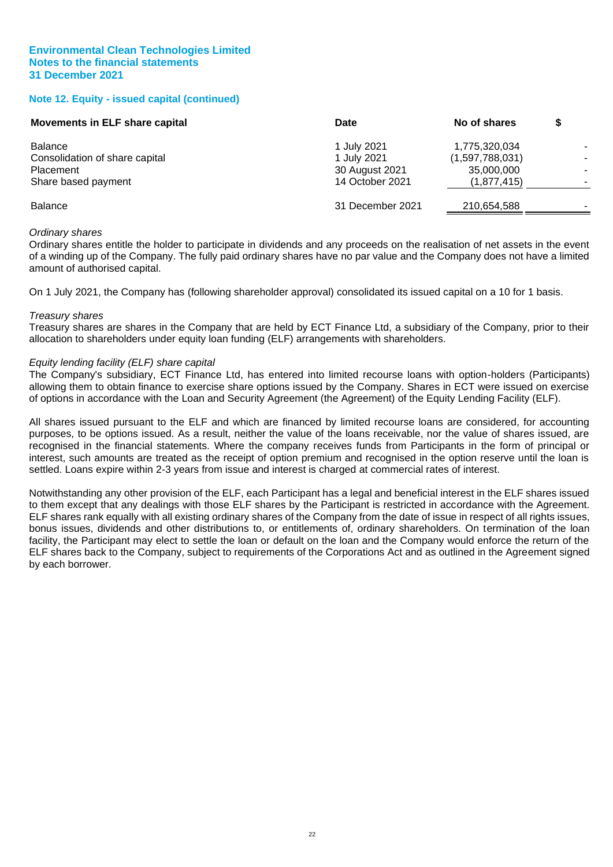#### **Note 12. Equity - issued capital (continued)**

| Movements in ELF share capital | Date             | No of shares    |  |
|--------------------------------|------------------|-----------------|--|
| <b>Balance</b>                 | 1 July 2021      | 1,775,320,034   |  |
| Consolidation of share capital | 1 July 2021      | (1,597,788,031) |  |
| Placement                      | 30 August 2021   | 35,000,000      |  |
| Share based payment            | 14 October 2021  | (1,877,415)     |  |
| <b>Balance</b>                 | 31 December 2021 | 210,654,588     |  |
|                                |                  |                 |  |

#### *Ordinary shares*

Ordinary shares entitle the holder to participate in dividends and any proceeds on the realisation of net assets in the event of a winding up of the Company. The fully paid ordinary shares have no par value and the Company does not have a limited amount of authorised capital.

On 1 July 2021, the Company has (following shareholder approval) consolidated its issued capital on a 10 for 1 basis.

#### *Treasury shares*

Treasury shares are shares in the Company that are held by ECT Finance Ltd, a subsidiary of the Company, prior to their allocation to shareholders under equity loan funding (ELF) arrangements with shareholders.

#### *Equity lending facility (ELF) share capital*

The Company's subsidiary, ECT Finance Ltd, has entered into limited recourse loans with option-holders (Participants) allowing them to obtain finance to exercise share options issued by the Company. Shares in ECT were issued on exercise of options in accordance with the Loan and Security Agreement (the Agreement) of the Equity Lending Facility (ELF).

All shares issued pursuant to the ELF and which are financed by limited recourse loans are considered, for accounting purposes, to be options issued. As a result, neither the value of the loans receivable, nor the value of shares issued, are recognised in the financial statements. Where the company receives funds from Participants in the form of principal or interest, such amounts are treated as the receipt of option premium and recognised in the option reserve until the loan is settled. Loans expire within 2-3 years from issue and interest is charged at commercial rates of interest.

Notwithstanding any other provision of the ELF, each Participant has a legal and beneficial interest in the ELF shares issued to them except that any dealings with those ELF shares by the Participant is restricted in accordance with the Agreement. ELF shares rank equally with all existing ordinary shares of the Company from the date of issue in respect of all rights issues, bonus issues, dividends and other distributions to, or entitlements of, ordinary shareholders. On termination of the loan facility, the Participant may elect to settle the loan or default on the loan and the Company would enforce the return of the ELF shares back to the Company, subject to requirements of the Corporations Act and as outlined in the Agreement signed by each borrower.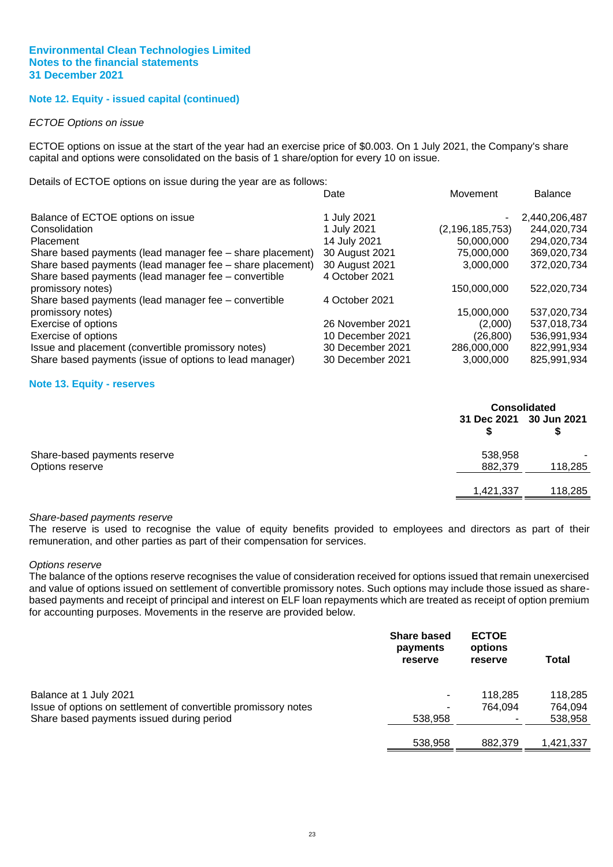#### **Note 12. Equity - issued capital (continued)**

#### *ECTOE Options on issue*

ECTOE options on issue at the start of the year had an exercise price of \$0.003. On 1 July 2021, the Company's share capital and options were consolidated on the basis of 1 share/option for every 10 on issue.

Details of ECTOE options on issue during the year are as follows:

|                                                           | Date             | Movement           | <b>Balance</b> |
|-----------------------------------------------------------|------------------|--------------------|----------------|
| Balance of ECTOE options on issue                         | 1 July 2021      |                    | 2,440,206,487  |
| Consolidation                                             | 1 July 2021      | (2, 196, 185, 753) | 244,020,734    |
| <b>Placement</b>                                          | 14 July 2021     | 50,000,000         | 294,020,734    |
| Share based payments (lead manager fee - share placement) | 30 August 2021   | 75,000,000         | 369,020,734    |
| Share based payments (lead manager fee - share placement) | 30 August 2021   | 3,000,000          | 372,020,734    |
| Share based payments (lead manager fee - convertible      | 4 October 2021   |                    |                |
| promissory notes)                                         |                  | 150,000,000        | 522,020,734    |
| Share based payments (lead manager fee - convertible      | 4 October 2021   |                    |                |
| promissory notes)                                         |                  | 15,000,000         | 537,020,734    |
| Exercise of options                                       | 26 November 2021 | (2.000)            | 537,018,734    |
| Exercise of options                                       | 10 December 2021 | (26,800)           | 536,991,934    |
| Issue and placement (convertible promissory notes)        | 30 December 2021 | 286,000,000        | 822,991,934    |
| Share based payments (issue of options to lead manager)   | 30 December 2021 | 3,000,000          | 825,991,934    |

#### **Note 13. Equity - reserves**

<span id="page-25-0"></span>

|                              |                         | <b>Consolidated</b>      |  |  |
|------------------------------|-------------------------|--------------------------|--|--|
|                              | 31 Dec 2021 30 Jun 2021 |                          |  |  |
| Share-based payments reserve | 538,958                 | $\overline{\phantom{a}}$ |  |  |
| Options reserve              | 882,379                 | 118,285                  |  |  |
|                              | 1,421,337               | 118,285                  |  |  |

#### *Share-based payments reserve*

The reserve is used to recognise the value of equity benefits provided to employees and directors as part of their remuneration, and other parties as part of their compensation for services.

#### *Options reserve*

The balance of the options reserve recognises the value of consideration received for options issued that remain unexercised and value of options issued on settlement of convertible promissory notes. Such options may include those issued as sharebased payments and receipt of principal and interest on ELF loan repayments which are treated as receipt of option premium for accounting purposes. Movements in the reserve are provided below.

|                                                                | <b>Share based</b><br>payments<br>reserve | <b>ECTOE</b><br>options<br>reserve | <b>Total</b> |
|----------------------------------------------------------------|-------------------------------------------|------------------------------------|--------------|
| Balance at 1 July 2021                                         |                                           | 118.285                            | 118,285      |
| Issue of options on settlement of convertible promissory notes | ۰                                         | 764.094                            | 764.094      |
| Share based payments issued during period                      | 538,958                                   |                                    | 538,958      |
|                                                                | 538,958                                   | 882.379                            | 1.421.337    |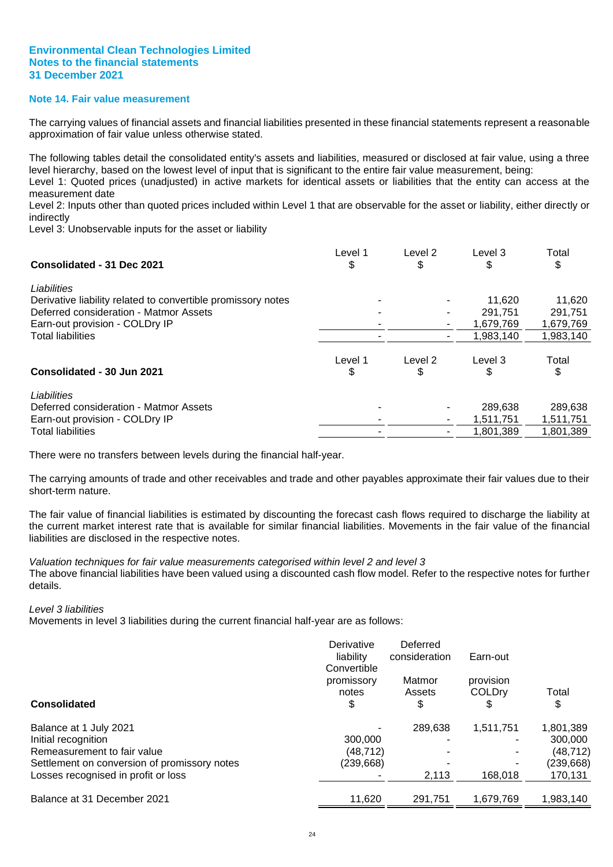#### **Note 14. Fair value measurement**

The carrying values of financial assets and financial liabilities presented in these financial statements represent a reasonable approximation of fair value unless otherwise stated.

The following tables detail the consolidated entity's assets and liabilities, measured or disclosed at fair value, using a three level hierarchy, based on the lowest level of input that is significant to the entire fair value measurement, being:

Level 1: Quoted prices (unadjusted) in active markets for identical assets or liabilities that the entity can access at the measurement date

Level 2: Inputs other than quoted prices included within Level 1 that are observable for the asset or liability, either directly or indirectly

Level 3: Unobservable inputs for the asset or liability

| Consolidated - 31 Dec 2021                                   | Level 1<br>\$ | Level 2<br>\$ | Level 3   | Total<br>\$ |
|--------------------------------------------------------------|---------------|---------------|-----------|-------------|
| Liabilities                                                  |               |               |           |             |
| Derivative liability related to convertible promissory notes |               |               | 11.620    | 11,620      |
| Deferred consideration - Matmor Assets                       |               |               | 291.751   | 291.751     |
| Earn-out provision - COLDry IP                               |               |               | 1,679,769 | 1,679,769   |
| <b>Total liabilities</b>                                     |               |               | 1.983.140 | 1,983,140   |
| Consolidated - 30 Jun 2021                                   | Level 1<br>\$ | Level 2<br>\$ | Level 3   | Total<br>\$ |
| Liabilities                                                  |               |               |           |             |
| Deferred consideration - Matmor Assets                       |               |               | 289,638   | 289,638     |
| Earn-out provision - COLDry IP                               |               |               | 1,511,751 | 1,511,751   |
| <b>Total liabilities</b>                                     |               |               | 1,801,389 | 1,801,389   |

There were no transfers between levels during the financial half-year.

The carrying amounts of trade and other receivables and trade and other payables approximate their fair values due to their short-term nature.

The fair value of financial liabilities is estimated by discounting the forecast cash flows required to discharge the liability at the current market interest rate that is available for similar financial liabilities. Movements in the fair value of the financial liabilities are disclosed in the respective notes.

*Valuation techniques for fair value measurements categorised within level 2 and level 3* The above financial liabilities have been valued using a discounted cash flow model. Refer to the respective notes for further details.

#### *Level 3 liabilities*

Movements in level 3 liabilities during the current financial half-year are as follows:

|                                              | Derivative<br>liability<br>Convertible | Deferred<br>consideration | Earn-out                         |             |
|----------------------------------------------|----------------------------------------|---------------------------|----------------------------------|-------------|
| <b>Consolidated</b>                          | promissory<br>notes<br>\$              | Matmor<br>Assets<br>\$    | provision<br><b>COLDrv</b><br>\$ | Total<br>\$ |
| Balance at 1 July 2021                       |                                        | 289.638                   | 1.511.751                        | 1,801,389   |
| Initial recognition                          | 300,000                                |                           |                                  | 300,000     |
| Remeasurement to fair value                  | (48.712)                               |                           |                                  | (48,712)    |
| Settlement on conversion of promissory notes | (239,668)                              |                           |                                  | (239, 668)  |
| Losses recognised in profit or loss          |                                        | 2,113                     | 168.018                          | 170,131     |
| Balance at 31 December 2021                  | 11,620                                 | 291,751                   | 1.679.769                        | 1,983,140   |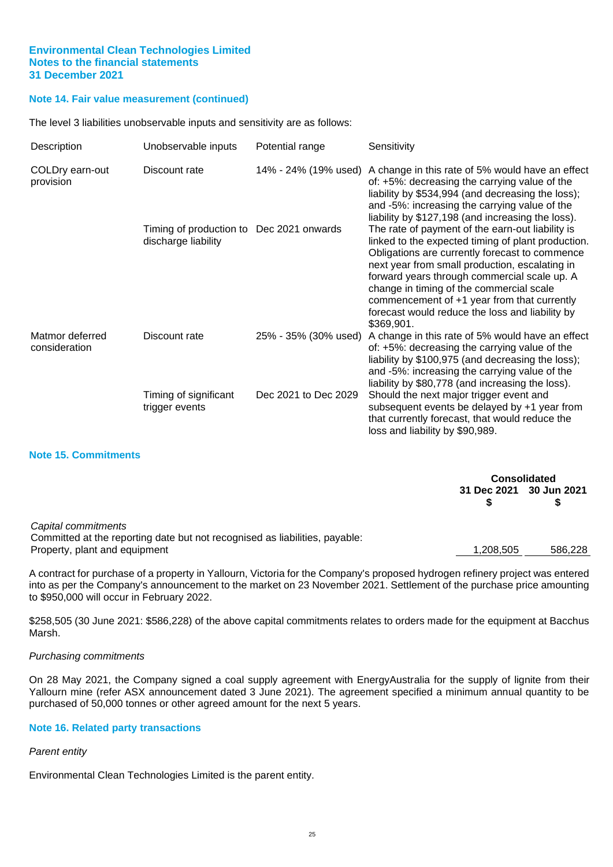#### **Note 14. Fair value measurement (continued)**

The level 3 liabilities unobservable inputs and sensitivity are as follows:

| Description                      | Unobservable inputs                                             | Potential range      | Sensitivity                                                                                                                                                                                                                                                                                                                                                                                                            |
|----------------------------------|-----------------------------------------------------------------|----------------------|------------------------------------------------------------------------------------------------------------------------------------------------------------------------------------------------------------------------------------------------------------------------------------------------------------------------------------------------------------------------------------------------------------------------|
| COLDry earn-out<br>provision     | Discount rate                                                   | 14% - 24% (19% used) | A change in this rate of 5% would have an effect<br>of: +5%: decreasing the carrying value of the<br>liability by \$534,994 (and decreasing the loss);<br>and -5%: increasing the carrying value of the<br>liability by \$127,198 (and increasing the loss).                                                                                                                                                           |
|                                  | Timing of production to Dec 2021 onwards<br>discharge liability |                      | The rate of payment of the earn-out liability is<br>linked to the expected timing of plant production.<br>Obligations are currently forecast to commence<br>next year from small production, escalating in<br>forward years through commercial scale up. A<br>change in timing of the commercial scale<br>commencement of +1 year from that currently<br>forecast would reduce the loss and liability by<br>\$369,901. |
| Matmor deferred<br>consideration | Discount rate                                                   |                      | 25% - 35% (30% used) A change in this rate of 5% would have an effect<br>of: +5%: decreasing the carrying value of the<br>liability by \$100,975 (and decreasing the loss);<br>and -5%: increasing the carrying value of the<br>liability by \$80,778 (and increasing the loss).                                                                                                                                       |
|                                  | Timing of significant<br>trigger events                         | Dec 2021 to Dec 2029 | Should the next major trigger event and<br>subsequent events be delayed by +1 year from<br>that currently forecast, that would reduce the<br>loss and liability by \$90,989.                                                                                                                                                                                                                                           |

#### **Note 15. Commitments**

**Consolidated 31 Dec 2021 30 Jun 2021 \$ \$**

#### *Capital commitments*

Committed at the reporting date but not recognised as liabilities, payable: Property, plant and equipment 1,208,505 586,228

A contract for purchase of a property in Yallourn, Victoria for the Company's proposed hydrogen refinery project was entered into as per the Company's announcement to the market on 23 November 2021. Settlement of the purchase price amounting to \$950,000 will occur in February 2022.

\$258,505 (30 June 2021: \$586,228) of the above capital commitments relates to orders made for the equipment at Bacchus Marsh.

#### *Purchasing commitments*

On 28 May 2021, the Company signed a coal supply agreement with EnergyAustralia for the supply of lignite from their Yallourn mine (refer ASX announcement dated 3 June 2021). The agreement specified a minimum annual quantity to be purchased of 50,000 tonnes or other agreed amount for the next 5 years.

#### **Note 16. Related party transactions**

#### *Parent entity*

Environmental Clean Technologies Limited is the parent entity.

25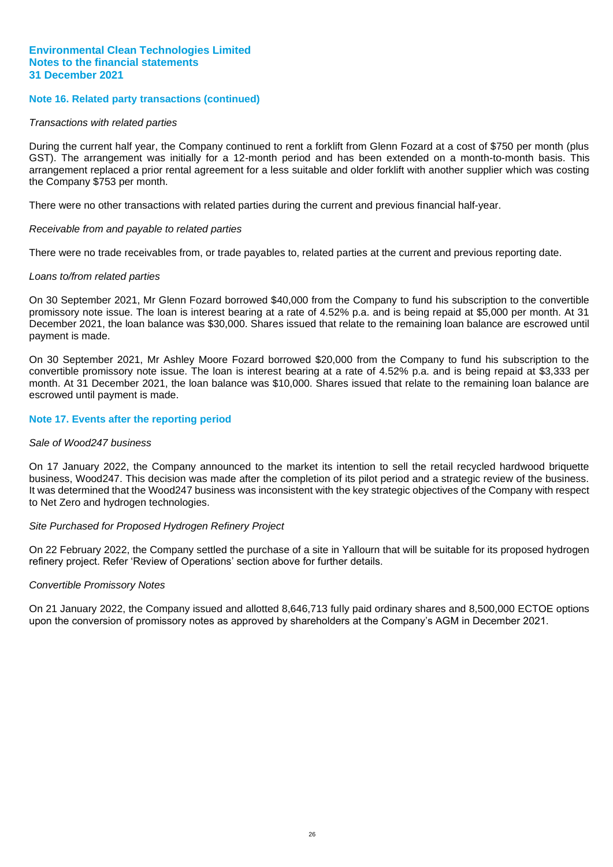#### **Note 16. Related party transactions (continued)**

#### *Transactions with related parties*

During the current half year, the Company continued to rent a forklift from Glenn Fozard at a cost of \$750 per month (plus GST). The arrangement was initially for a 12-month period and has been extended on a month-to-month basis. This arrangement replaced a prior rental agreement for a less suitable and older forklift with another supplier which was costing the Company \$753 per month.

There were no other transactions with related parties during the current and previous financial half-year.

#### *Receivable from and payable to related parties*

There were no trade receivables from, or trade payables to, related parties at the current and previous reporting date.

#### *Loans to/from related parties*

On 30 September 2021, Mr Glenn Fozard borrowed \$40,000 from the Company to fund his subscription to the convertible promissory note issue. The loan is interest bearing at a rate of 4.52% p.a. and is being repaid at \$5,000 per month. At 31 December 2021, the loan balance was \$30,000. Shares issued that relate to the remaining loan balance are escrowed until payment is made.

On 30 September 2021, Mr Ashley Moore Fozard borrowed \$20,000 from the Company to fund his subscription to the convertible promissory note issue. The loan is interest bearing at a rate of 4.52% p.a. and is being repaid at \$3,333 per month. At 31 December 2021, the loan balance was \$10,000. Shares issued that relate to the remaining loan balance are escrowed until payment is made.

#### **Note 17. Events after the reporting period**

#### *Sale of Wood247 business*

On 17 January 2022, the Company announced to the market its intention to sell the retail recycled hardwood briquette business, Wood247. This decision was made after the completion of its pilot period and a strategic review of the business. It was determined that the Wood247 business was inconsistent with the key strategic objectives of the Company with respect to Net Zero and hydrogen technologies.

#### *Site Purchased for Proposed Hydrogen Refinery Project*

On 22 February 2022, the Company settled the purchase of a site in Yallourn that will be suitable for its proposed hydrogen refinery project. Refer 'Review of Operations' section above for further details.

#### *Convertible Promissory Notes*

On 21 January 2022, the Company issued and allotted 8,646,713 fully paid ordinary shares and 8,500,000 ECTOE options upon the conversion of promissory notes as approved by shareholders at the Company's AGM in December 2021.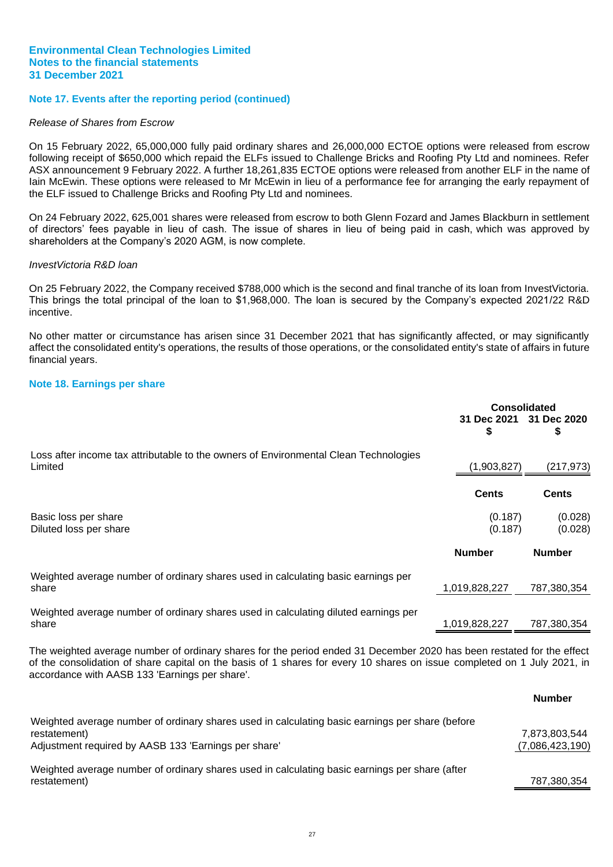#### **Note 17. Events after the reporting period (continued)**

#### *Release of Shares from Escrow*

On 15 February 2022, 65,000,000 fully paid ordinary shares and 26,000,000 ECTOE options were released from escrow following receipt of \$650,000 which repaid the ELFs issued to Challenge Bricks and Roofing Pty Ltd and nominees. Refer ASX announcement 9 February 2022. A further 18,261,835 ECTOE options were released from another ELF in the name of Iain McEwin. These options were released to Mr McEwin in lieu of a performance fee for arranging the early repayment of the ELF issued to Challenge Bricks and Roofing Pty Ltd and nominees.

On 24 February 2022, 625,001 shares were released from escrow to both Glenn Fozard and James Blackburn in settlement of directors' fees payable in lieu of cash. The issue of shares in lieu of being paid in cash, which was approved by shareholders at the Company's 2020 AGM, is now complete.

#### *InvestVictoria R&D loan*

On 25 February 2022, the Company received \$788,000 which is the second and final tranche of its loan from InvestVictoria. This brings the total principal of the loan to \$1,968,000. The loan is secured by the Company's expected 2021/22 R&D incentive.

No other matter or circumstance has arisen since 31 December 2021 that has significantly affected, or may significantly affect the consolidated entity's operations, the results of those operations, or the consolidated entity's state of affairs in future financial years.

#### **Note 18. Earnings per share**

<span id="page-29-0"></span>

|                                                                                                 | <b>Consolidated</b><br>31 Dec 2021 31 Dec 2020<br>S | \$                 |
|-------------------------------------------------------------------------------------------------|-----------------------------------------------------|--------------------|
| Loss after income tax attributable to the owners of Environmental Clean Technologies<br>Limited | (1,903,827)                                         | (217, 973)         |
|                                                                                                 | <b>Cents</b>                                        | <b>Cents</b>       |
| Basic loss per share<br>Diluted loss per share                                                  | (0.187)<br>(0.187)                                  | (0.028)<br>(0.028) |
|                                                                                                 | <b>Number</b>                                       | <b>Number</b>      |
| Weighted average number of ordinary shares used in calculating basic earnings per<br>share      | 1,019,828,227                                       | 787,380,354        |
| Weighted average number of ordinary shares used in calculating diluted earnings per<br>share    | 1,019,828,227                                       | 787,380,354        |

The weighted average number of ordinary shares for the period ended 31 December 2020 has been restated for the effect of the consolidation of share capital on the basis of 1 shares for every 10 shares on issue completed on 1 July 2021, in accordance with AASB 133 'Earnings per share'.

**Number**

|                                                                                                 | number          |
|-------------------------------------------------------------------------------------------------|-----------------|
| Weighted average number of ordinary shares used in calculating basic earnings per share (before |                 |
| restatement)                                                                                    | 7,873,803,544   |
| Adjustment required by AASB 133 'Earnings per share'                                            | (7,086,423,190) |
| Weighted average number of ordinary shares used in calculating basic earnings per share (after  |                 |
| restatement)                                                                                    | 787,380,354     |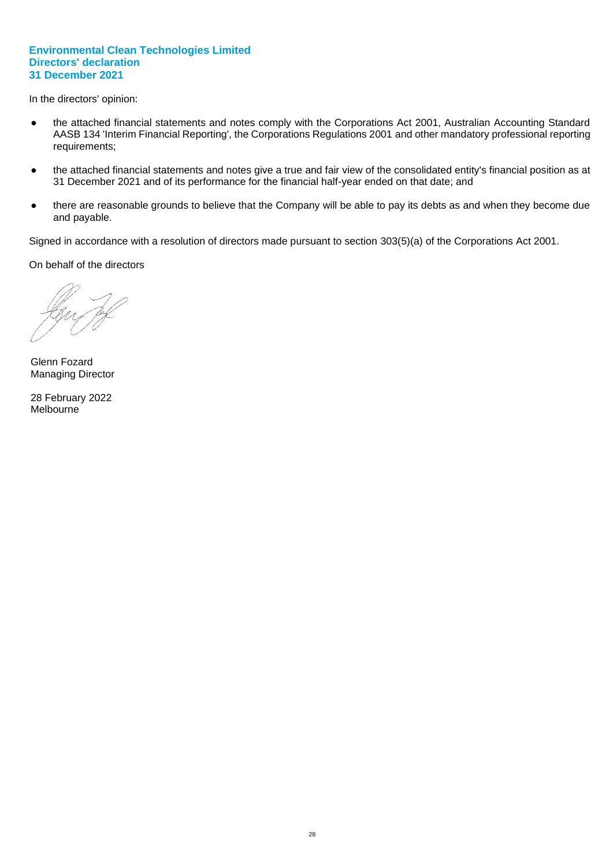In the directors' opinion:

- the attached financial statements and notes comply with the Corporations Act 2001, Australian Accounting Standard AASB 134 'Interim Financial Reporting', the Corporations Regulations 2001 and other mandatory professional reporting requirements;
- the attached financial statements and notes give a true and fair view of the consolidated entity's financial position as at 31 December 2021 and of its performance for the financial half-year ended on that date; and
- there are reasonable grounds to believe that the Company will be able to pay its debts as and when they become due and payable.

Signed in accordance with a resolution of directors made pursuant to section 303(5)(a) of the Corporations Act 2001.

On behalf of the directors

Glenn Fozard Managing Director

28 February 2022 Melbourne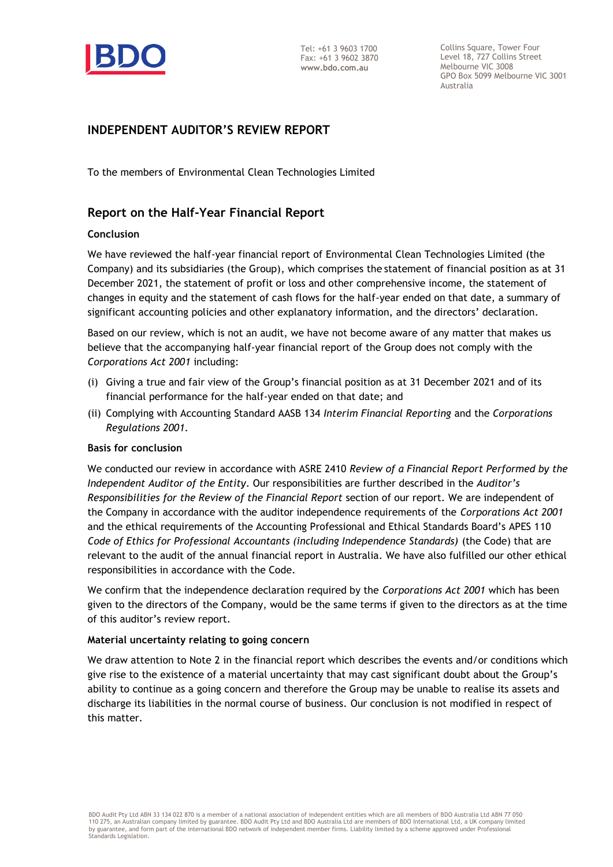

Collins Square, Tower Four Level 18, 727 Collins Street Melbourne VIC 3008 GPO Box 5099 Melbourne VIC 3001 Australia

# **INDEPENDENT AUDITOR'S REVIEW REPORT**

To the members of Environmental Clean Technologies Limited

# **Report on the Half-Year Financial Report**

#### **Conclusion**

We have reviewed the half-year financial report of Environmental Clean Technologies Limited (the Company) and its subsidiaries (the Group), which comprises the statement of financial position as at 31 December 2021, the statement of profit or loss and other comprehensive income, the statement of changes in equity and the statement of cash flows for the half-year ended on that date, a summary of significant accounting policies and other explanatory information, and the directors' declaration.

Based on our review, which is not an audit, we have not become aware of any matter that makes us believe that the accompanying half-year financial report of the Group does not comply with the *Corporations Act 2001* including:

- (i) Giving a true and fair view of the Group's financial position as at 31 December 2021 and of its financial performance for the half-year ended on that date; and
- (ii) Complying with Accounting Standard AASB 134 *Interim Financial Reporting* and the *Corporations Regulations 2001.*

#### **Basis for conclusion**

We conducted our review in accordance with ASRE 2410 *Review of a Financial Report Performed by the Independent Auditor of the Entity*. Our responsibilities are further described in the *Auditor's Responsibilities for the Review of the Financial Report* section of our report. We are independent of the Company in accordance with the auditor independence requirements of the *Corporations Act 2001* and the ethical requirements of the Accounting Professional and Ethical Standards Board's APES 110 *Code of Ethics for Professional Accountants (including Independence Standards)* (the Code) that are relevant to the audit of the annual financial report in Australia. We have also fulfilled our other ethical responsibilities in accordance with the Code.

We confirm that the independence declaration required by the *Corporations Act 2001* which has been given to the directors of the Company, would be the same terms if given to the directors as at the time of this auditor's review report.

#### **Material uncertainty relating to going concern**

We draw attention to Note 2 in the financial report which describes the events and/or conditions which give rise to the existence of a material uncertainty that may cast significant doubt about the Group's ability to continue as a going concern and therefore the Group may be unable to realise its assets and discharge its liabilities in the normal course of business. Our conclusion is not modified in respect of this matter.